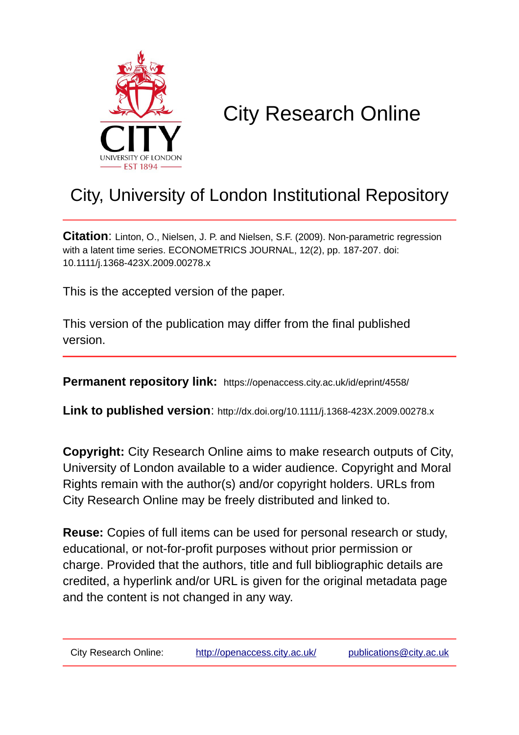

# City Research Online

# City, University of London Institutional Repository

**Citation**: Linton, O., Nielsen, J. P. and Nielsen, S.F. (2009). Non-parametric regression with a latent time series. ECONOMETRICS JOURNAL, 12(2), pp. 187-207. doi: 10.1111/j.1368-423X.2009.00278.x

This is the accepted version of the paper.

This version of the publication may differ from the final published version.

**Permanent repository link:** https://openaccess.city.ac.uk/id/eprint/4558/

**Link to published version**: http://dx.doi.org/10.1111/j.1368-423X.2009.00278.x

**Copyright:** City Research Online aims to make research outputs of City, University of London available to a wider audience. Copyright and Moral Rights remain with the author(s) and/or copyright holders. URLs from City Research Online may be freely distributed and linked to.

**Reuse:** Copies of full items can be used for personal research or study, educational, or not-for-profit purposes without prior permission or charge. Provided that the authors, title and full bibliographic details are credited, a hyperlink and/or URL is given for the original metadata page and the content is not changed in any way.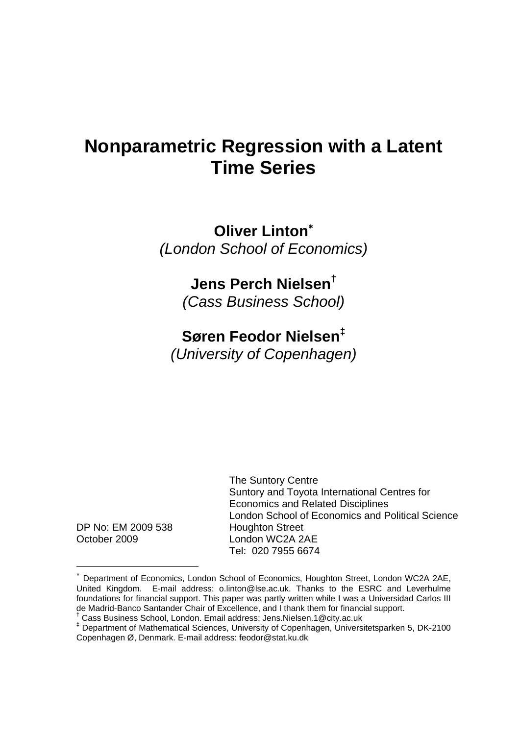# **Nonparametric Regression with a Latent Time Series**

**Oliver Linton**<sup>∗</sup> *(London School of Economics)* 

# **Jens Perch Nielsen†**

*(Cass Business School)* 

# **Søren Feodor Nielsen‡**

*(University of Copenhagen)* 

DP No: EM 2009 538 Houghton Street October 2009 London WC2A 2AE

 The Suntory Centre Suntory and Toyota International Centres for Economics and Related Disciplines London School of Economics and Political Science Tel: 020 7955 6674

<sup>∗</sup> Department of Economics, London School of Economics, Houghton Street, London WC2A 2AE, United Kingdom. E-mail address: o.linton@lse.ac.uk. Thanks to the ESRC and Leverhulme foundations for financial support. This paper was partly written while I was a Universidad Carlos III de Madrid-Banco Santander Chair of Excellence, and I thank them for financial support. †

Cass Business School, London. Email address: Jens.Nielsen.1@city.ac.uk

<sup>‡</sup> Department of Mathematical Sciences, University of Copenhagen, Universitetsparken 5, DK-2100 Copenhagen Ø, Denmark. E-mail address: feodor@stat.ku.dk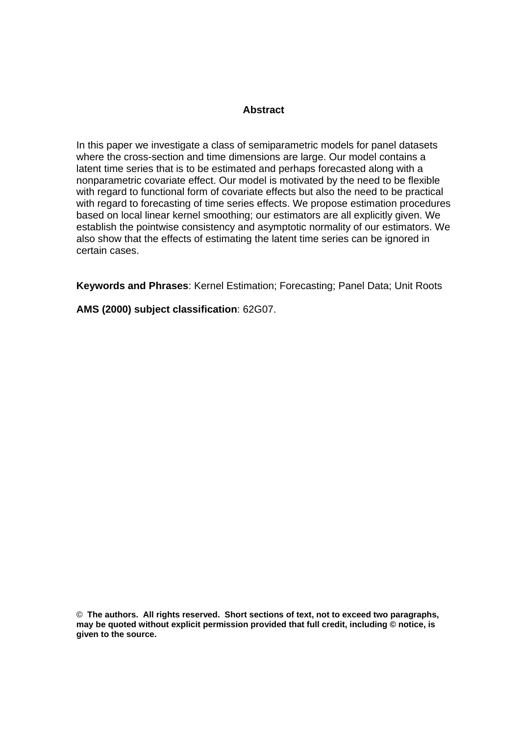#### **Abstract**

In this paper we investigate a class of semiparametric models for panel datasets where the cross-section and time dimensions are large. Our model contains a latent time series that is to be estimated and perhaps forecasted along with a nonparametric covariate effect. Our model is motivated by the need to be flexible with regard to functional form of covariate effects but also the need to be practical with regard to forecasting of time series effects. We propose estimation procedures based on local linear kernel smoothing; our estimators are all explicitly given. We establish the pointwise consistency and asymptotic normality of our estimators. We also show that the effects of estimating the latent time series can be ignored in certain cases.

**Keywords and Phrases**: Kernel Estimation; Forecasting; Panel Data; Unit Roots

**AMS (2000) subject classification**: 62G07.

© **The authors. All rights reserved. Short sections of text, not to exceed two paragraphs, may be quoted without explicit permission provided that full credit, including © notice, is given to the source.**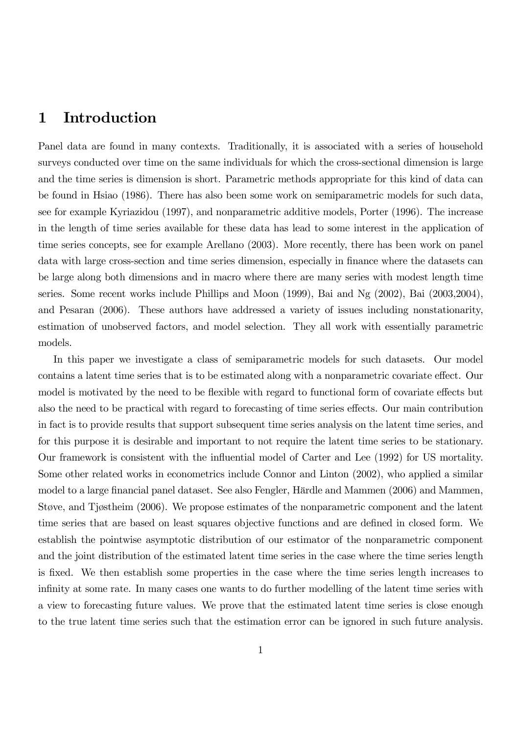## 1 Introduction

Panel data are found in many contexts. Traditionally, it is associated with a series of household surveys conducted over time on the same individuals for which the cross-sectional dimension is large and the time series is dimension is short. Parametric methods appropriate for this kind of data can be found in Hsiao (1986). There has also been some work on semiparametric models for such data, see for example Kyriazidou (1997), and nonparametric additive models, Porter (1996). The increase in the length of time series available for these data has lead to some interest in the application of time series concepts, see for example Arellano (2003). More recently, there has been work on panel data with large cross-section and time series dimension, especially in finance where the datasets can be large along both dimensions and in macro where there are many series with modest length time series. Some recent works include Phillips and Moon (1999), Bai and Ng (2002), Bai (2003,2004), and Pesaran (2006). These authors have addressed a variety of issues including nonstationarity, estimation of unobserved factors, and model selection. They all work with essentially parametric models.

In this paper we investigate a class of semiparametric models for such datasets. Our model contains a latent time series that is to be estimated along with a nonparametric covariate effect. Our model is motivated by the need to be flexible with regard to functional form of covariate effects but also the need to be practical with regard to forecasting of time series effects. Our main contribution in fact is to provide results that support subsequent time series analysis on the latent time series, and for this purpose it is desirable and important to not require the latent time series to be stationary. Our framework is consistent with the influential model of Carter and Lee (1992) for US mortality. Some other related works in econometrics include Connor and Linton (2002), who applied a similar model to a large financial panel dataset. See also Fengler, Härdle and Mammen (2006) and Mammen, Støve, and Tjøstheim (2006). We propose estimates of the nonparametric component and the latent time series that are based on least squares objective functions and are defined in closed form. We establish the pointwise asymptotic distribution of our estimator of the nonparametric component and the joint distribution of the estimated latent time series in the case where the time series length is fixed. We then establish some properties in the case where the time series length increases to infinity at some rate. In many cases one wants to do further modelling of the latent time series with a view to forecasting future values. We prove that the estimated latent time series is close enough to the true latent time series such that the estimation error can be ignored in such future analysis.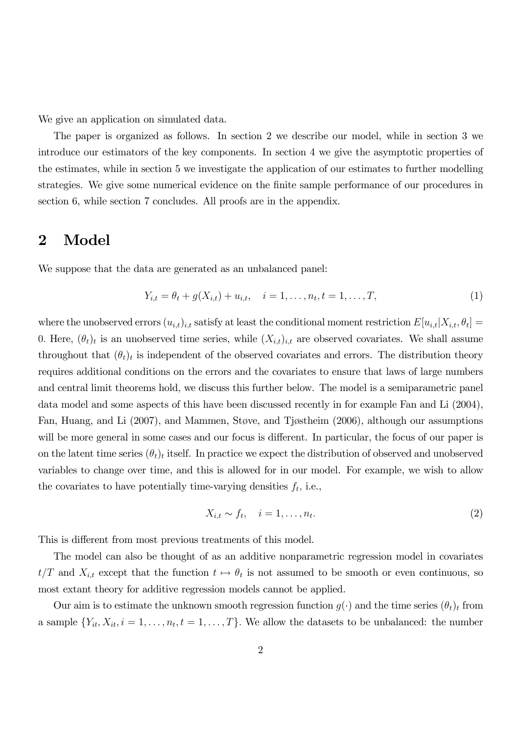We give an application on simulated data.

The paper is organized as follows. In section 2 we describe our model, while in section 3 we introduce our estimators of the key components. In section 4 we give the asymptotic properties of the estimates, while in section 5 we investigate the application of our estimates to further modelling strategies. We give some numerical evidence on the finite sample performance of our procedures in section 6, while section 7 concludes. All proofs are in the appendix.

#### 2 Model

We suppose that the data are generated as an unbalanced panel:

$$
Y_{i,t} = \theta_t + g(X_{i,t}) + u_{i,t}, \quad i = 1, \dots, n_t, t = 1, \dots, T,
$$
\n(1)

where the unobserved errors  $(u_{i,t})_{i,t}$  satisfy at least the conditional moment restriction  $E[u_{i,t}|X_{i,t}, \theta_t] =$ 0. Here,  $(\theta_t)_t$  is an unobserved time series, while  $(X_{i,t})_{i,t}$  are observed covariates. We shall assume throughout that  $(\theta_t)_t$  is independent of the observed covariates and errors. The distribution theory requires additional conditions on the errors and the covariates to ensure that laws of large numbers and central limit theorems hold, we discuss this further below. The model is a semiparametric panel data model and some aspects of this have been discussed recently in for example Fan and Li (2004), Fan, Huang, and Li (2007), and Mammen, Støve, and Tjøstheim (2006), although our assumptions will be more general in some cases and our focus is different. In particular, the focus of our paper is on the latent time series  $(\theta_t)_t$  itself. In practice we expect the distribution of observed and unobserved variables to change over time, and this is allowed for in our model. For example, we wish to allow the covariates to have potentially time-varying densities  $f_t$ , i.e.,

$$
X_{i,t} \sim f_t, \quad i = 1, \dots, n_t. \tag{2}
$$

This is different from most previous treatments of this model.

The model can also be thought of as an additive nonparametric regression model in covariates  $t/T$  and  $X_{i,t}$  except that the function  $t \mapsto \theta_t$  is not assumed to be smooth or even continuous, so most extant theory for additive regression models cannot be applied.

Our aim is to estimate the unknown smooth regression function  $g(\cdot)$  and the time series  $(\theta_t)_t$  from a sample  $\{Y_{it}, X_{it}, i = 1, \ldots, n_t, t = 1, \ldots, T\}$ . We allow the datasets to be unbalanced: the number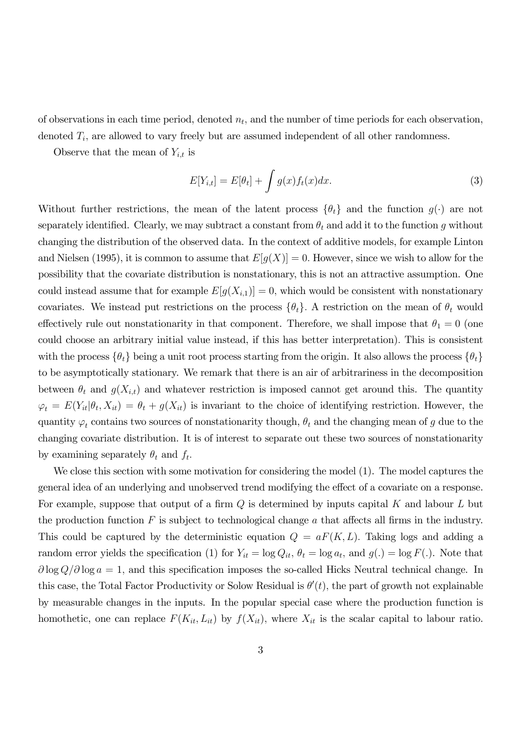of observations in each time period, denoted  $n_t$ , and the number of time periods for each observation, denoted  $T_i$ , are allowed to vary freely but are assumed independent of all other randomness.

Observe that the mean of  $Y_{i,t}$  is

$$
E[Y_{i,t}] = E[\theta_t] + \int g(x)f_t(x)dx.
$$
\n(3)

Without further restrictions, the mean of the latent process  $\{\theta_t\}$  and the function  $g(\cdot)$  are not separately identified. Clearly, we may subtract a constant from  $\theta_t$  and add it to the function g without changing the distribution of the observed data. In the context of additive models, for example Linton and Nielsen (1995), it is common to assume that  $E[g(X)] = 0$ . However, since we wish to allow for the possibility that the covariate distribution is nonstationary, this is not an attractive assumption. One could instead assume that for example  $E[g(X_{i,1})] = 0$ , which would be consistent with nonstationary covariates. We instead put restrictions on the process  $\{\theta_t\}$ . A restriction on the mean of  $\theta_t$  would effectively rule out nonstationarity in that component. Therefore, we shall impose that  $\theta_1 = 0$  (one could choose an arbitrary initial value instead, if this has better interpretation). This is consistent with the process  $\{\theta_t\}$  being a unit root process starting from the origin. It also allows the process  $\{\theta_t\}$ to be asymptotically stationary. We remark that there is an air of arbitrariness in the decomposition between  $\theta_t$  and  $g(X_{i,t})$  and whatever restriction is imposed cannot get around this. The quantity  $\varphi_t = E(Y_{it}|\theta_t, X_{it}) = \theta_t + g(X_{it})$  is invariant to the choice of identifying restriction. However, the quantity  $\varphi_t$  contains two sources of nonstationarity though,  $\theta_t$  and the changing mean of g due to the changing covariate distribution. It is of interest to separate out these two sources of nonstationarity by examining separately  $\theta_t$  and  $f_t$ .

We close this section with some motivation for considering the model (1). The model captures the general idea of an underlying and unobserved trend modifying the effect of a covariate on a response. For example, suppose that output of a firm  $Q$  is determined by inputs capital K and labour L but the production function  $F$  is subject to technological change  $a$  that affects all firms in the industry. This could be captured by the deterministic equation  $Q = aF(K, L)$ . Taking logs and adding a random error yields the specification (1) for  $Y_{it} = \log Q_{it}$ ,  $\theta_t = \log a_t$ , and  $g(.) = \log F(.)$ . Note that  $\partial \log Q / \partial \log a = 1$ , and this specification imposes the so-called Hicks Neutral technical change. In this case, the Total Factor Productivity or Solow Residual is  $\theta'(t)$ , the part of growth not explainable by measurable changes in the inputs. In the popular special case where the production function is homothetic, one can replace  $F(K_{it}, L_{it})$  by  $f(X_{it})$ , where  $X_{it}$  is the scalar capital to labour ratio.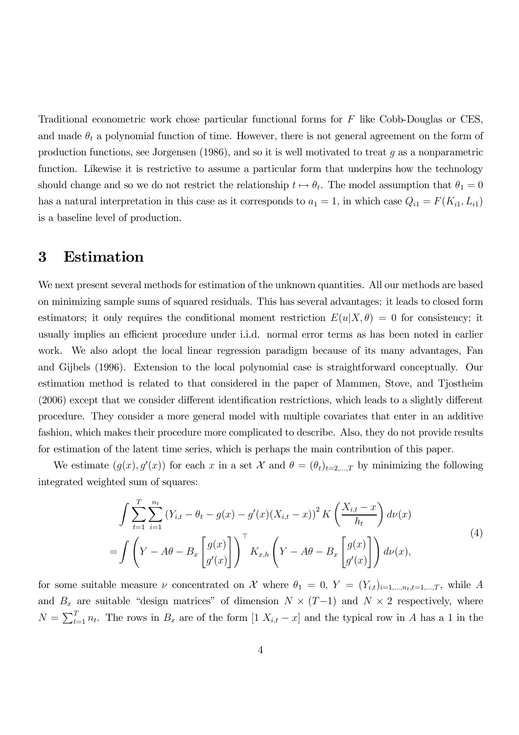Traditional econometric work chose particular functional forms for F like Cobb-Douglas or CES, and made  $\theta_t$  a polynomial function of time. However, there is not general agreement on the form of production functions, see Jorgensen (1986), and so it is well motivated to treat  $q$  as a nonparametric function. Likewise it is restrictive to assume a particular form that underpins how the technology should change and so we do not restrict the relationship  $t \mapsto \theta_t$ . The model assumption that  $\theta_1 = 0$ has a natural interpretation in this case as it corresponds to  $a_1 = 1$ , in which case  $Q_{i1} = F(K_{i1}, L_{i1})$ is a baseline level of production.

## 3 Estimation

We next present several methods for estimation of the unknown quantities. All our methods are based on minimizing sample sums of squared residuals. This has several advantages: it leads to closed form estimators; it only requires the conditional moment restriction  $E(u|X,\theta) = 0$  for consistency; it usually implies an efficient procedure under i.i.d. normal error terms as has been noted in earlier work. We also adopt the local linear regression paradigm because of its many advantages, Fan and Gijbels (1996). Extension to the local polynomial case is straightforward conceptually. Our estimation method is related to that considered in the paper of Mammen, Stove, and Tjostheim (2006) except that we consider different identification restrictions, which leads to a slightly different procedure. They consider a more general model with multiple covariates that enter in an additive fashion, which makes their procedure more complicated to describe. Also, they do not provide results for estimation of the latent time series, which is perhaps the main contribution of this paper.

We estimate  $(g(x), g'(x))$  for each x in a set X and  $\theta = (\theta_t)_{t=2,\dots,T}$  by minimizing the following integrated weighted sum of squares:

$$
\int \sum_{t=1}^{T} \sum_{i=1}^{n_t} (Y_{i,t} - \theta_t - g(x) - g'(x)(X_{i,t} - x))^2 K\left(\frac{X_{i,t} - x}{h_t}\right) d\nu(x)
$$
\n
$$
= \int \left(Y - A\theta - B_x \begin{bmatrix} g(x) \\ g'(x) \end{bmatrix}\right)^{\top} K_{x,h} \left(Y - A\theta - B_x \begin{bmatrix} g(x) \\ g'(x) \end{bmatrix}\right) d\nu(x), \tag{4}
$$

for some suitable measure  $\nu$  concentrated on X where  $\theta_1 = 0$ ,  $Y = (Y_{i,t})_{i=1,\dots,n_t,t=1,\dots,T}$ , while A and  $B_x$  are suitable "design matrices" of dimension  $N \times (T-1)$  and  $N \times 2$  respectively, where  $N = \sum_{t=1}^{T} n_t$ . The rows in  $B_x$  are of the form  $[1 \ X_{i,t} - x]$  and the typical row in A has a 1 in the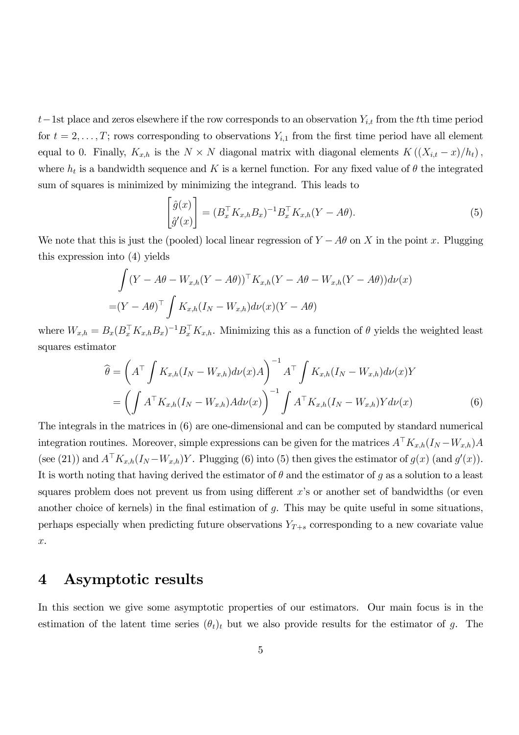t–1st place and zeros elsewhere if the row corresponds to an observation  $Y_{i,t}$  from the tth time period for  $t = 2, \ldots, T$ ; rows corresponding to observations  $Y_{i,1}$  from the first time period have all element equal to 0. Finally,  $K_{x,h}$  is the  $N \times N$  diagonal matrix with diagonal elements  $K((X_{i,t}-x)/h_t)$ , where  $h_t$  is a bandwidth sequence and K is a kernel function. For any fixed value of  $\theta$  the integrated sum of squares is minimized by minimizing the integrand. This leads to

$$
\begin{bmatrix}\n\hat{g}(x) \\
\hat{g}'(x)\n\end{bmatrix} = (B_x^\top K_{x,h} B_x)^{-1} B_x^\top K_{x,h}(Y - A\theta).
$$
\n(5)

We note that this is just the (pooled) local linear regression of  $Y - A\theta$  on X in the point x. Plugging this expression into (4) yields

$$
\int (Y - A\theta - W_{x,h}(Y - A\theta))^{\top} K_{x,h}(Y - A\theta - W_{x,h}(Y - A\theta))d\nu(x)
$$
  
=  $(Y - A\theta)^{\top} \int K_{x,h}(I_N - W_{x,h})d\nu(x)(Y - A\theta)$ 

where  $W_{x,h} = B_x (B_x^\top K_{x,h} B_x)^{-1} B_x^\top K_{x,h}$ . Minimizing this as a function of  $\theta$  yields the weighted least squares estimator

$$
\widehat{\theta} = \left(A^{\top} \int K_{x,h}(I_N - W_{x,h}) d\nu(x) A\right)^{-1} A^{\top} \int K_{x,h}(I_N - W_{x,h}) d\nu(x) Y
$$
\n
$$
= \left(\int A^{\top} K_{x,h}(I_N - W_{x,h}) A d\nu(x)\right)^{-1} \int A^{\top} K_{x,h}(I_N - W_{x,h}) Y d\nu(x) \tag{6}
$$

The integrals in the matrices in (6) are one-dimensional and can be computed by standard numerical integration routines. Moreover, simple expressions can be given for the matrices  $A^{\top}K_{x,h}(I_N - W_{x,h})A$ (see (21)) and  $A^{\dagger} K_{x,h}(I_N - W_{x,h})Y$ . Plugging (6) into (5) then gives the estimator of  $g(x)$  (and  $g'(x)$ ). It is worth noting that having derived the estimator of  $\theta$  and the estimator of g as a solution to a least squares problem does not prevent us from using different x's or another set of bandwidths (or even another choice of kernels) in the final estimation of  $g$ . This may be quite useful in some situations, perhaps especially when predicting future observations  $Y_{T+s}$  corresponding to a new covariate value x.

## 4 Asymptotic results

In this section we give some asymptotic properties of our estimators. Our main focus is in the estimation of the latent time series  $(\theta_t)_t$  but we also provide results for the estimator of g. The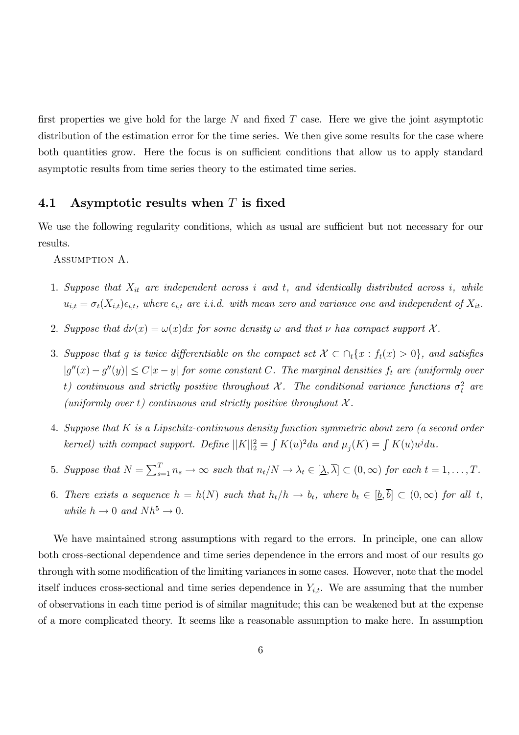first properties we give hold for the large  $N$  and fixed  $T$  case. Here we give the joint asymptotic distribution of the estimation error for the time series. We then give some results for the case where both quantities grow. Here the focus is on sufficient conditions that allow us to apply standard asymptotic results from time series theory to the estimated time series.

#### 4.1 Asymptotic results when  $T$  is fixed

We use the following regularity conditions, which as usual are sufficient but not necessary for our results.

ASSUMPTION A.

- 1. Suppose that  $X_{it}$  are independent across i and t, and identically distributed across i, while  $u_{i,t} = \sigma_t(X_{i,t}) \epsilon_{i,t}$ , where  $\epsilon_{i,t}$  are i.i.d. with mean zero and variance one and independent of  $X_{it}$ .
- 2. Suppose that  $d\nu(x) = \omega(x)dx$  for some density  $\omega$  and that  $\nu$  has compact support X.
- 3. Suppose that g is twice differentiable on the compact set  $\mathcal{X} \subset \bigcap_i \{x : f_t(x) > 0\}$ , and satisfies  $|g''(x) - g''(y)| \le C|x - y|$  for some constant C. The marginal densities  $f_t$  are (uniformly over t) continuous and strictly positive throughout  $\mathcal{X}$ . The conditional variance functions  $\sigma_t^2$  are (uniformly over t) continuous and strictly positive throughout  $\mathcal{X}$ .
- 4. Suppose that K is a Lipschitz-continuous density function symmetric about zero (a second order kernel) with compact support. Define  $||K||_2^2 = \int K(u)^2 du$  and  $\mu_j(K) = \int K(u)u^j du$ .
- 5. Suppose that  $N = \sum_{s=1}^{T} n_s \to \infty$  such that  $n_t/N \to \lambda_t \in [\underline{\lambda}, \overline{\lambda}] \subset (0, \infty)$  for each  $t = 1, ..., T$ .
- 6. There exists a sequence  $h = h(N)$  such that  $h_t/h \to b_t$ , where  $b_t \in [\underline{b}, \overline{b}] \subset (0, \infty)$  for all t, while  $h \to 0$  and  $Nh^5 \to 0$ .

We have maintained strong assumptions with regard to the errors. In principle, one can allow both cross-sectional dependence and time series dependence in the errors and most of our results go through with some modification of the limiting variances in some cases. However, note that the model itself induces cross-sectional and time series dependence in  $Y_{i,t}$ . We are assuming that the number of observations in each time period is of similar magnitude; this can be weakened but at the expense of a more complicated theory. It seems like a reasonable assumption to make here. In assumption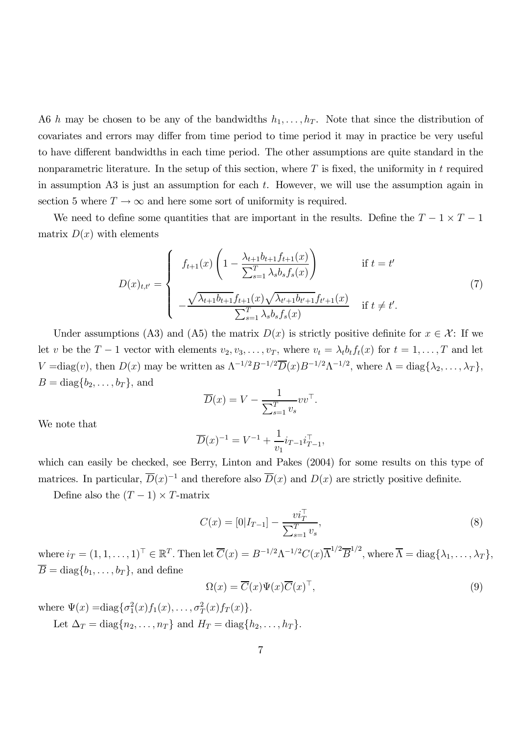A6 h may be chosen to be any of the bandwidths  $h_1, \ldots, h_T$ . Note that since the distribution of covariates and errors may differ from time period to time period it may in practice be very useful to have different bandwidths in each time period. The other assumptions are quite standard in the nonparametric literature. In the setup of this section, where  $T$  is fixed, the uniformity in  $t$  required in assumption A3 is just an assumption for each  $t$ . However, we will use the assumption again in section 5 where  $T \to \infty$  and here some sort of uniformity is required.

We need to define some quantities that are important in the results. Define the  $T - 1 \times T - 1$ matrix  $D(x)$  with elements

$$
D(x)_{t,t'} = \begin{cases} f_{t+1}(x) \left( 1 - \frac{\lambda_{t+1} b_{t+1} f_{t+1}(x)}{\sum_{s=1}^{T} \lambda_s b_s f_s(x)} \right) & \text{if } t = t' \\ -\frac{\sqrt{\lambda_{t+1} b_{t+1} f_{t+1}(x) \sqrt{\lambda_{t'+1} b_{t'+1} f_{t'+1}(x)}}{\sum_{s=1}^{T} \lambda_s b_s f_s(x)} & \text{if } t \neq t'. \end{cases} (7)
$$

Under assumptions (A3) and (A5) the matrix  $D(x)$  is strictly positive definite for  $x \in \mathcal{X}$ : If we let v be the  $T-1$  vector with elements  $v_2, v_3, \ldots, v_T$ , where  $v_t = \lambda_t b_t f_t(x)$  for  $t = 1, \ldots, T$  and let  $V = \text{diag}(v)$ , then  $D(x)$  may be written as  $\Lambda^{-1/2} B^{-1/2} \overline{D}(x) B^{-1/2} \Lambda^{-1/2}$ , where  $\Lambda = \text{diag}\{\lambda_2, \ldots, \lambda_T\}$ ,  $B = diag{b_2, \ldots, b_T}$ , and

$$
\overline{D}(x) = V - \frac{1}{\sum_{s=1}^{T} v_s} v v^\top.
$$

We note that

$$
\overline{D}(x)^{-1} = V^{-1} + \frac{1}{v_1} i_{T-1} i_{T-1}^{\top},
$$

which can easily be checked, see Berry, Linton and Pakes (2004) for some results on this type of matrices. In particular,  $\overline{D}(x)^{-1}$  and therefore also  $\overline{D}(x)$  and  $D(x)$  are strictly positive definite.

Define also the  $(T - 1) \times T$ -matrix

$$
C(x) = [0|I_{T-1}] - \frac{vi_T^{\top}}{\sum_{s=1}^T v_s},
$$
\n(8)

where  $i_T = (1, 1, \ldots, 1)^{\top} \in \mathbb{R}^T$ . Then let  $\overline{C}(x) = B^{-1/2} \Lambda^{-1/2} C(x) \overline{\Lambda}^{1/2} \overline{B}^{1/2}$ , where  $\overline{\Lambda} = \text{diag}\{\lambda_1, \ldots, \lambda_T\},$  $\overline{B} = \text{diag}\{b_1, \ldots, b_T\}$ , and define

$$
\Omega(x) = \overline{C}(x)\Psi(x)\overline{C}(x)^{\top},\tag{9}
$$

where  $\Psi(x) = \text{diag}\{\sigma_1^2(x)f_1(x), \ldots, \sigma_T^2(x)f_T(x)\}.$ 

Let  $\Delta_T = \text{diag}\{n_2, \ldots, n_T\}$  and  $H_T = \text{diag}\{h_2, \ldots, h_T\}.$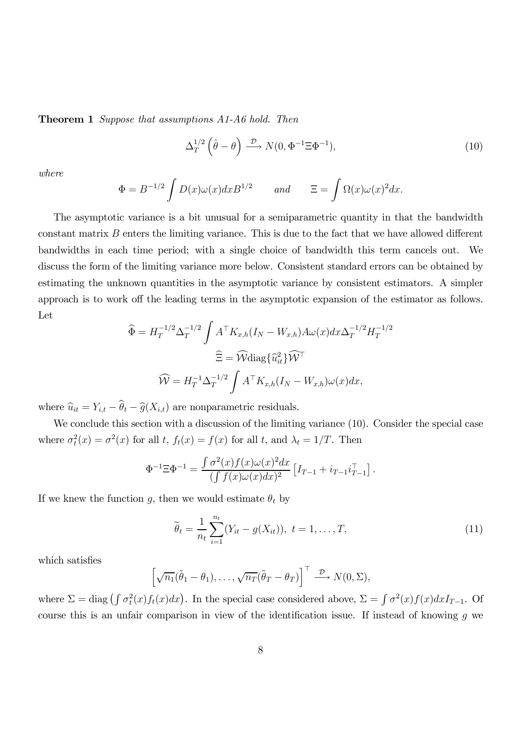**Theorem 1** Suppose that assumptions A1-A6 hold. Then

$$
\Delta_T^{1/2} \left( \hat{\theta} - \theta \right) \xrightarrow{\mathcal{D}} N(0, \Phi^{-1} \Xi \Phi^{-1}), \tag{10}
$$

where

$$
\Phi = B^{-1/2} \int D(x)\omega(x)dx B^{1/2} \quad \text{and} \quad \Xi = \int \Omega(x)\omega(x)^2 dx.
$$

The asymptotic variance is a bit unusual for a semiparametric quantity in that the bandwidth constant matrix  $B$  enters the limiting variance. This is due to the fact that we have allowed different bandwidths in each time period; with a single choice of bandwidth this term cancels out. We discuss the form of the limiting variance more below. Consistent standard errors can be obtained by estimating the unknown quantities in the asymptotic variance by consistent estimators. A simpler approach is to work off the leading terms in the asymptotic expansion of the estimator as follows. Let

$$
\widehat{\Phi} = H_T^{-1/2} \Delta_T^{-1/2} \int A^{\top} K_{x,h} (I_N - W_{x,h}) A \omega(x) dx \Delta_T^{-1/2} H_T^{-1/2}
$$

$$
\widehat{\Xi} = \widehat{\mathcal{W}} \text{diag}\{\widehat{u}_{it}^2\} \widehat{\mathcal{W}}^{\top}
$$

$$
\widehat{\mathcal{W}} = H_T^{-1} \Delta_T^{-1/2} \int A^{\top} K_{x,h} (I_N - W_{x,h}) \omega(x) dx,
$$

where  $\hat{u}_{it} = Y_{i,t} - \theta_t - \hat{g}(X_{i,t})$  are nonparametric residuals.

We conclude this section with a discussion of the limiting variance  $(10)$ . Consider the special case where  $\sigma_t^2(x) = \sigma^2(x)$  for all t,  $f_t(x) = f(x)$  for all t, and  $\lambda_t = 1/T$ . Then

$$
\Phi^{-1} \Xi \Phi^{-1} = \frac{\int \sigma^2(x) f(x) \omega(x)^2 dx}{(\int f(x) \omega(x) dx)^2} [I_{T-1} + i_{T-1} i_{T-1}^\top].
$$

If we knew the function g, then we would estimate  $\theta_t$  by

$$
\widetilde{\theta}_t = \frac{1}{n_t} \sum_{i=1}^{n_t} (Y_{it} - g(X_{it})), \ t = 1, \dots, T,
$$
\n(11)

which satisfies

$$
\left[\sqrt{n_1}(\tilde{\theta}_1 - \theta_1), \ldots, \sqrt{n_T}(\tilde{\theta}_T - \theta_T)\right]^\top \stackrel{\mathcal{D}}{\longrightarrow} N(0, \Sigma),
$$

where  $\Sigma = \text{diag}(\int \sigma_t^2(x) f_t(x) dx)$ . In the special case considered above,  $\Sigma = \int \sigma^2(x) f(x) dx I_{T-1}$ . Of course this is an unfair comparison in view of the identification issue. If instead of knowing  $g$  we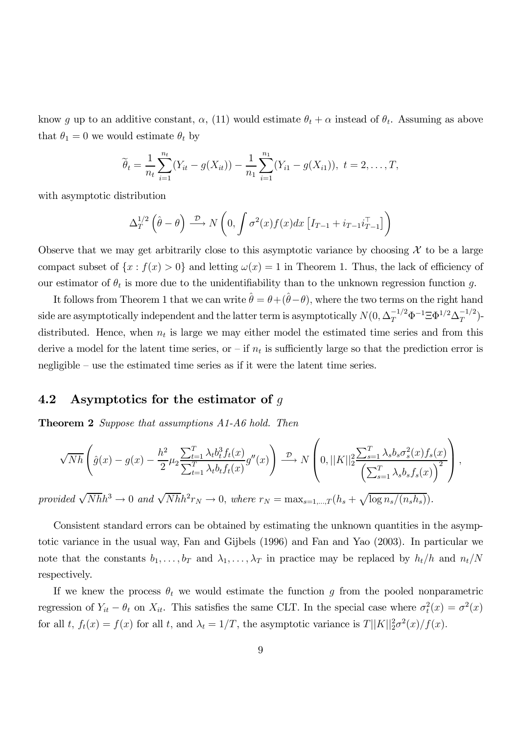know g up to an additive constant,  $\alpha$ , (11) would estimate  $\theta_t + \alpha$  instead of  $\theta_t$ . Assuming as above that  $\theta_1 = 0$  we would estimate  $\theta_t$  by

$$
\widetilde{\theta}_t = \frac{1}{n_t} \sum_{i=1}^{n_t} (Y_{it} - g(X_{it})) - \frac{1}{n_1} \sum_{i=1}^{n_1} (Y_{i1} - g(X_{i1})), \ t = 2, \ldots, T,
$$

with asymptotic distribution

$$
\Delta_T^{1/2}(\hat{\theta}-\theta) \xrightarrow{\mathcal{D}} N\left(0, \int \sigma^2(x) f(x) dx \left[I_{T-1} + i_{T-1} i_{T-1}^\top\right]\right)
$$

Observe that we may get arbitrarily close to this asymptotic variance by choosing  $\mathcal X$  to be a large compact subset of  $\{x : f(x) > 0\}$  and letting  $\omega(x) = 1$  in Theorem 1. Thus, the lack of efficiency of our estimator of  $\theta_t$  is more due to the unidentifiability than to the unknown regression function g.

It follows from Theorem 1 that we can write  $\hat{\theta} = \theta + (\hat{\theta} - \theta)$ , where the two terms on the right hand side are asymptotically independent and the latter term is asymptotically  $N(0, \Delta_T^{-1/2} \Phi^{-1} \Xi \Phi^{1/2} \Delta_T^{-1/2})$ distributed. Hence, when  $n_t$  is large we may either model the estimated time series and from this derive a model for the latent time series, or  $-$  if  $n_t$  is sufficiently large so that the prediction error is negligible — use the estimated time series as if it were the latent time series.

#### 4.2 Asymptotics for the estimator of  $q$

**Theorem 2** Suppose that assumptions A1-A6 hold. Then

$$
\sqrt{Nh}\left(\hat{g}(x) - g(x) - \frac{h^2}{2}\mu_2 \frac{\sum_{t=1}^T \lambda_t b_t^3 f_t(x)}{\sum_{t=1}^T \lambda_t b_t f_t(x)} g''(x)\right) \xrightarrow{\mathcal{D}} N\left(0, ||K||_2^2 \frac{\sum_{s=1}^T \lambda_s b_s \sigma_s^2(x) f_s(x)}{\left(\sum_{s=1}^T \lambda_s b_s f_s(x)\right)^2}\right),
$$

provided  $\sqrt{Nh}h^3 \to 0$  and  $\sqrt{Nh}h^2r_N \to 0$ , where  $r_N = \max_{s=1,\dots,T} (h_s + \sqrt{\log n_s/(n_sh_s)})$ .

Consistent standard errors can be obtained by estimating the unknown quantities in the asymptotic variance in the usual way, Fan and Gijbels (1996) and Fan and Yao (2003). In particular we note that the constants  $b_1, \ldots, b_T$  and  $\lambda_1, \ldots, \lambda_T$  in practice may be replaced by  $h_t/h$  and  $n_t/N$ respectively.

If we knew the process  $\theta_t$  we would estimate the function g from the pooled nonparametric regression of  $Y_{it} - \theta_t$  on  $X_{it}$ . This satisfies the same CLT. In the special case where  $\sigma_t^2(x) = \sigma^2(x)$ for all t,  $f_t(x) = f(x)$  for all t, and  $\lambda_t = 1/T$ , the asymptotic variance is  $T||K||_2^2\sigma^2(x)/f(x)$ .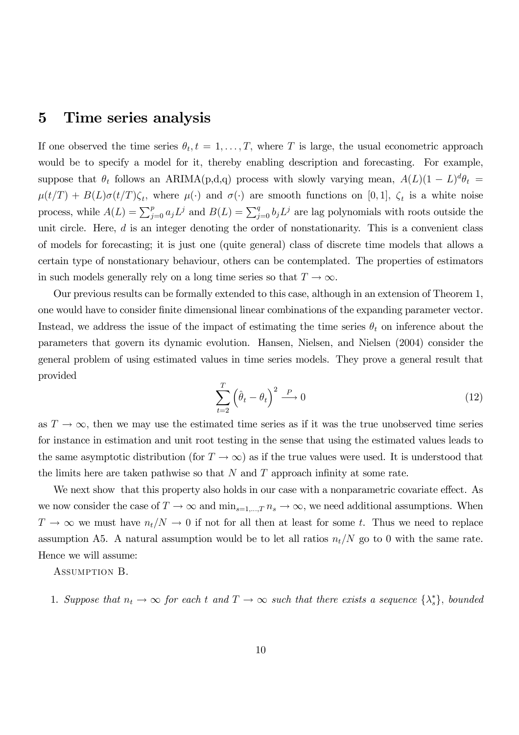### 5 Time series analysis

If one observed the time series  $\theta_t, t = 1, \ldots, T$ , where T is large, the usual econometric approach would be to specify a model for it, thereby enabling description and forecasting. For example, suppose that  $\theta_t$  follows an ARIMA(p,d,q) process with slowly varying mean,  $A(L)(1 - L)^d \theta_t =$  $\mu(t/T) + B(L)\sigma(t/T)\zeta_t$ , where  $\mu(\cdot)$  and  $\sigma(\cdot)$  are smooth functions on [0,1],  $\zeta_t$  is a white noise process, while  $A(L) = \sum_{j=0}^{p} a_j L^j$  and  $B(L) = \sum_{j=0}^{q} b_j L^j$  are lag polynomials with roots outside the unit circle. Here, d is an integer denoting the order of nonstationarity. This is a convenient class of models for forecasting; it is just one (quite general) class of discrete time models that allows a certain type of nonstationary behaviour, others can be contemplated. The properties of estimators in such models generally rely on a long time series so that  $T \to \infty$ .

Our previous results can be formally extended to this case, although in an extension of Theorem 1, one would have to consider finite dimensional linear combinations of the expanding parameter vector. Instead, we address the issue of the impact of estimating the time series  $\theta_t$  on inference about the parameters that govern its dynamic evolution. Hansen, Nielsen, and Nielsen (2004) consider the general problem of using estimated values in time series models. They prove a general result that provided

$$
\sum_{t=2}^{T} \left(\hat{\theta}_t - \theta_t\right)^2 \stackrel{P}{\longrightarrow} 0 \tag{12}
$$

as  $T \to \infty$ , then we may use the estimated time series as if it was the true unobserved time series for instance in estimation and unit root testing in the sense that using the estimated values leads to the same asymptotic distribution (for  $T \to \infty$ ) as if the true values were used. It is understood that the limits here are taken pathwise so that  $N$  and  $T$  approach infinity at some rate.

We next show that this property also holds in our case with a nonparametric covariate effect. As we now consider the case of  $T \to \infty$  and  $\min_{s=1,\dots,T} n_s \to \infty$ , we need additional assumptions. When  $T \to \infty$  we must have  $n_t/N \to 0$  if not for all then at least for some t. Thus we need to replace assumption A5. A natural assumption would be to let all ratios  $n_t/N$  go to 0 with the same rate. Hence we will assume:

ASSUMPTION B.

1. Suppose that  $n_t \to \infty$  for each t and  $T \to \infty$  such that there exists a sequence  $\{\lambda_s^*\}$ , bounded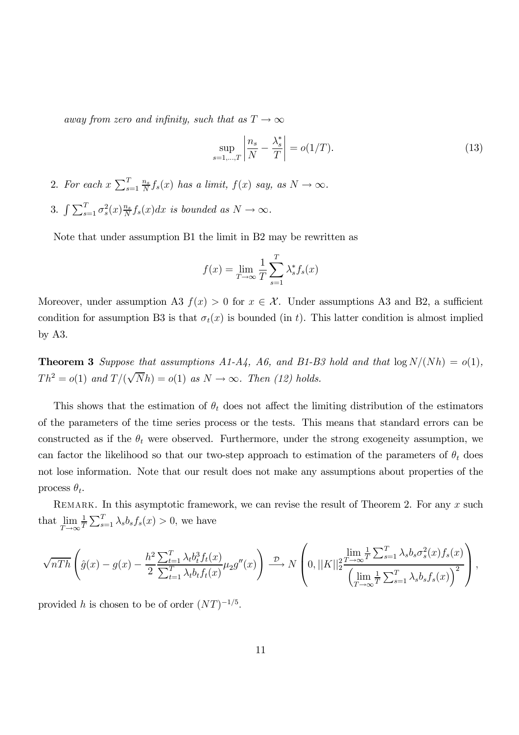away from zero and infinity, such that as  $T \to \infty$ 

$$
\sup_{s=1,\dots,T} \left| \frac{n_s}{N} - \frac{\lambda_s^*}{T} \right| = o(1/T). \tag{13}
$$

- 2. For each  $x \sum_{s=1}^{T} \frac{n_s}{N}$  $\frac{n_s}{N} f_s(x)$  has a limit,  $f(x)$  say, as  $N \to \infty$ .
- 3.  $\int \sum_{s=1}^{T} \sigma_s^2(x) \frac{n_s}{N}$  $\frac{n_s}{N} f_s(x) dx$  is bounded as  $N \to \infty$ .

Note that under assumption B1 the limit in B2 may be rewritten as

$$
f(x) = \lim_{T \to \infty} \frac{1}{T} \sum_{s=1}^{T} \lambda_s^* f_s(x)
$$

Moreover, under assumption A3  $f(x) > 0$  for  $x \in \mathcal{X}$ . Under assumptions A3 and B2, a sufficient condition for assumption B3 is that  $\sigma_t(x)$  is bounded (in t). This latter condition is almost implied by A3.

**Theorem 3** Suppose that assumptions A1-A4, A6, and B1-B3 hold and that  $\log N/(Nh) = o(1)$ ,  $Th^2 = o(1)$  and  $T/(\sqrt{N}h) = o(1)$  as  $N \to \infty$ . Then (12) holds.

This shows that the estimation of  $\theta_t$  does not affect the limiting distribution of the estimators of the parameters of the time series process or the tests. This means that standard errors can be constructed as if the  $\theta_t$  were observed. Furthermore, under the strong exogeneity assumption, we can factor the likelihood so that our two-step approach to estimation of the parameters of  $\theta_t$  does not lose information. Note that our result does not make any assumptions about properties of the process  $\theta_t$ .

REMARK. In this asymptotic framework, we can revise the result of Theorem 2. For any  $x$  such that lim  $T\rightarrow\infty$ 1  $\frac{1}{T} \sum_{s=1}^{T} \lambda_s b_s f_s(x) > 0$ , we have

$$
\sqrt{nTh}\left(\hat{g}(x)-g(x)-\frac{h^2}{2}\frac{\sum_{t=1}^T\lambda_t b_t^3 f_t(x)}{\sum_{t=1}^T\lambda_t b_t f_t(x)}\mu_2 g''(x)\right) \xrightarrow{\mathcal{D}} N\left(0,||K||_2^2 \frac{\lim_{T\to\infty} \frac{1}{T} \sum_{s=1}^T\lambda_s b_s \sigma_s^2(x)f_s(x)}{\left(\lim_{T\to\infty} \frac{1}{T} \sum_{s=1}^T\lambda_s b_s f_s(x)\right)^2}\right),
$$

provided h is chosen to be of order  $(NT)^{-1/5}$ .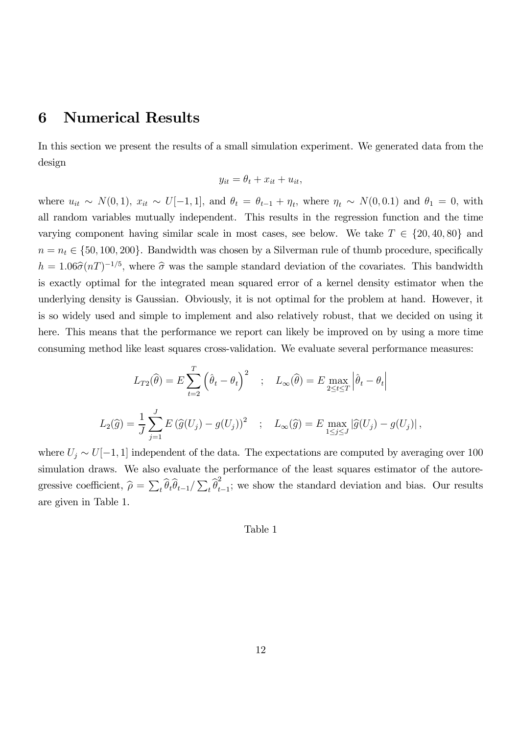## 6 Numerical Results

In this section we present the results of a small simulation experiment. We generated data from the design

$$
y_{it} = \theta_t + x_{it} + u_{it},
$$

where  $u_{it} \sim N(0, 1)$ ,  $x_{it} \sim U[-1, 1]$ , and  $\theta_t = \theta_{t-1} + \eta_t$ , where  $\eta_t \sim N(0, 0.1)$  and  $\theta_1 = 0$ , with all random variables mutually independent. This results in the regression function and the time varying component having similar scale in most cases, see below. We take  $T \in \{20, 40, 80\}$  and  $n = n_t \in \{50, 100, 200\}$ . Bandwidth was chosen by a Silverman rule of thumb procedure, specifically  $h = 1.06\hat{\sigma}(nT)^{-1/5}$ , where  $\hat{\sigma}$  was the sample standard deviation of the covariates. This bandwidth is exactly optimal for the integrated mean squared error of a kernel density estimator when the underlying density is Gaussian. Obviously, it is not optimal for the problem at hand. However, it is so widely used and simple to implement and also relatively robust, that we decided on using it here. This means that the performance we report can likely be improved on by using a more time consuming method like least squares cross-validation. We evaluate several performance measures:

$$
L_{T2}(\widehat{\theta}) = E \sum_{t=2}^{T} (\widehat{\theta}_t - \theta_t)^2 \quad ; \quad L_{\infty}(\widehat{\theta}) = E \max_{2 \le t \le T} |\widehat{\theta}_t - \theta_t|
$$
  

$$
L_2(\widehat{g}) = \frac{1}{J} \sum_{j=1}^{J} E (\widehat{g}(U_j) - g(U_j))^2 \quad ; \quad L_{\infty}(\widehat{g}) = E \max_{1 \le j \le J} |\widehat{g}(U_j) - g(U_j)|,
$$

where  $U_j \sim U[-1, 1]$  independent of the data. The expectations are computed by averaging over 100 simulation draws. We also evaluate the performance of the least squares estimator of the autoregressive coefficient,  $\hat{\rho} = \sum_t \hat{\theta}_t \hat{\theta}_{t-1} / \sum_t \hat{\theta}_t^2$  $\bar{t}_{t-1}$ ; we show the standard deviation and bias. Our results are given in Table 1.

#### Table 1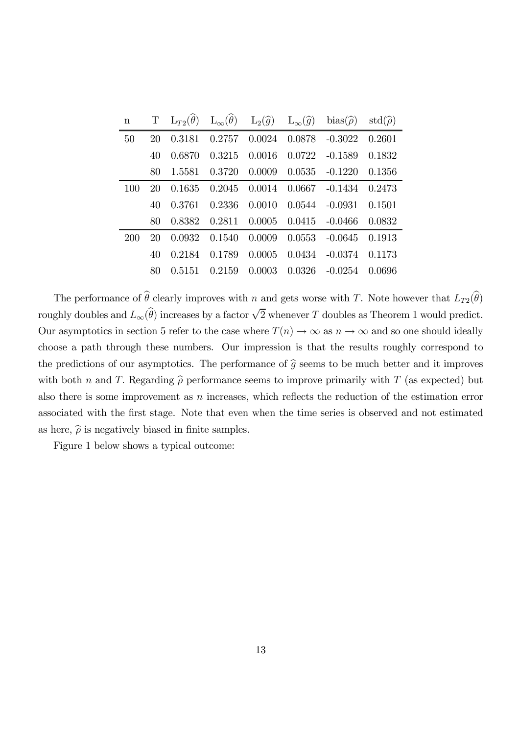| $\mathbf n$ | T  | $\mathrm{L}_{T2}(\widehat{\theta})$ |        |        |                 | $L_{\infty}(\widehat{\theta})$ $L_2(\widehat{g})$ $L_{\infty}(\widehat{g})$ bias $(\widehat{\rho})$ | $\mathrm{std}(\widehat{\rho})$ |
|-------------|----|-------------------------------------|--------|--------|-----------------|-----------------------------------------------------------------------------------------------------|--------------------------------|
| 50          | 20 | 0.3181                              | 0.2757 |        | $0.0024$ 0.0878 | $-0.3022$                                                                                           | 0.2601                         |
|             | 40 | 0.6870                              | 0.3215 | 0.0016 | 0.0722          | $-0.1589$                                                                                           | 0.1832                         |
|             | 80 | 1.5581                              | 0.3720 | 0.0009 | 0.0535          | $-0.1220$                                                                                           | 0.1356                         |
| 100         | 20 | 0.1635                              | 0.2045 | 0.0014 | 0.0667          | $-0.1434$                                                                                           | 0.2473                         |
|             | 40 | 0.3761                              | 0.2336 | 0.0010 | 0.0544          | $-0.0931$                                                                                           | 0.1501                         |
|             | 80 | 0.8382                              | 0.2811 | 0.0005 |                 | $0.0415 - 0.0466$                                                                                   | 0.0832                         |
| 200         | 20 | 0.0932                              | 0.1540 | 0.0009 | 0.0553          | $-0.0645$                                                                                           | 0.1913                         |
|             | 40 | 0.2184                              | 0.1789 | 0.0005 | 0.0434          | $-0.0374$                                                                                           | 0.1173                         |
|             | 80 | 0.5151                              | 0.2159 | 0.0003 | 0.0326          | $-0.0254$                                                                                           | 0.0696                         |

The performance of  $\theta$  clearly improves with n and gets worse with T. Note however that  $L_{T2}(\theta)$ roughly doubles and  $L_{\infty}(\widehat{\theta})$  increases by a factor  $\sqrt{2}$  whenever T doubles as Theorem 1 would predict. Our asymptotics in section 5 refer to the case where  $T(n) \to \infty$  as  $n \to \infty$  and so one should ideally choose a path through these numbers. Our impression is that the results roughly correspond to the predictions of our asymptotics. The performance of  $\hat{g}$  seems to be much better and it improves with both *n* and *T*. Regarding  $\widehat{\rho}$  performance seems to improve primarily with *T* (as expected) but also there is some improvement as  $n$  increases, which reflects the reduction of the estimation error associated with the first stage. Note that even when the time series is observed and not estimated as here,  $\hat{\rho}$  is negatively biased in finite samples.

Figure 1 below shows a typical outcome: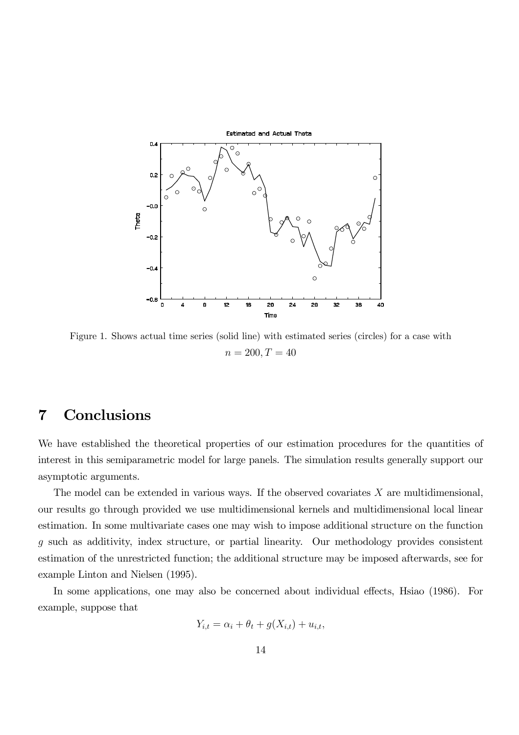

Figure 1. Shows actual time series (solid line) with estimated series (circles) for a case with  $n = 200, T = 40$ 

# 7 Conclusions

We have established the theoretical properties of our estimation procedures for the quantities of interest in this semiparametric model for large panels. The simulation results generally support our asymptotic arguments.

The model can be extended in various ways. If the observed covariates  $X$  are multidimensional, our results go through provided we use multidimensional kernels and multidimensional local linear estimation. In some multivariate cases one may wish to impose additional structure on the function g such as additivity, index structure, or partial linearity. Our methodology provides consistent estimation of the unrestricted function; the additional structure may be imposed afterwards, see for example Linton and Nielsen (1995).

In some applications, one may also be concerned about individual effects, Hsiao (1986). For example, suppose that

$$
Y_{i,t} = \alpha_i + \theta_t + g(X_{i,t}) + u_{i,t},
$$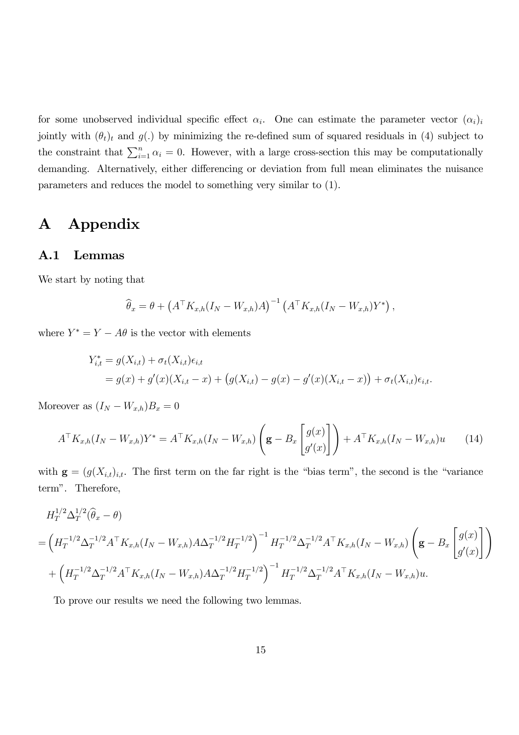for some unobserved individual specific effect  $\alpha_i$ . One can estimate the parameter vector  $(\alpha_i)_i$ jointly with  $(\theta_t)_t$  and  $g(.)$  by minimizing the re-defined sum of squared residuals in (4) subject to the constraint that  $\sum_{i=1}^{n} \alpha_i = 0$ . However, with a large cross-section this may be computationally demanding. Alternatively, either differencing or deviation from full mean eliminates the nuisance parameters and reduces the model to something very similar to (1).

# A Appendix

#### A.1 Lemmas

We start by noting that

$$
\widehat{\theta}_x = \theta + \left(A^\top K_{x,h}(I_N - W_{x,h})A\right)^{-1} \left(A^\top K_{x,h}(I_N - W_{x,h})Y^*\right),
$$

where  $Y^* = Y - A\theta$  is the vector with elements

$$
Y_{i,t}^* = g(X_{i,t}) + \sigma_t(X_{i,t})\epsilon_{i,t}
$$
  
=  $g(x) + g'(x)(X_{i,t} - x) + (g(X_{i,t}) - g(x) - g'(x)(X_{i,t} - x)) + \sigma_t(X_{i,t})\epsilon_{i,t}.$ 

Moreover as  $(I_N - W_{x,h})B_x = 0$ 

$$
A^{\top} K_{x,h}(I_N - W_{x,h}) Y^* = A^{\top} K_{x,h}(I_N - W_{x,h}) \left( \mathbf{g} - B_x \begin{bmatrix} g(x) \\ g'(x) \end{bmatrix} \right) + A^{\top} K_{x,h}(I_N - W_{x,h}) u \qquad (14)
$$

with  $\mathbf{g} = (g(X_{i,t})_{i,t}$ . The first term on the far right is the "bias term", the second is the "variance term". Therefore,

$$
H_T^{1/2} \Delta_T^{1/2} (\hat{\theta}_x - \theta)
$$
  
=  $\left( H_T^{-1/2} \Delta_T^{-1/2} A^\top K_{x,h} (I_N - W_{x,h}) A \Delta_T^{-1/2} H_T^{-1/2} \right)^{-1} H_T^{-1/2} \Delta_T^{-1/2} A^\top K_{x,h} (I_N - W_{x,h}) \left( \mathbf{g} - B_x \begin{bmatrix} g(x) \\ g'(x) \end{bmatrix} \right)$   
+  $\left( H_T^{-1/2} \Delta_T^{-1/2} A^\top K_{x,h} (I_N - W_{x,h}) A \Delta_T^{-1/2} H_T^{-1/2} \right)^{-1} H_T^{-1/2} \Delta_T^{-1/2} A^\top K_{x,h} (I_N - W_{x,h}) u.$ 

To prove our results we need the following two lemmas.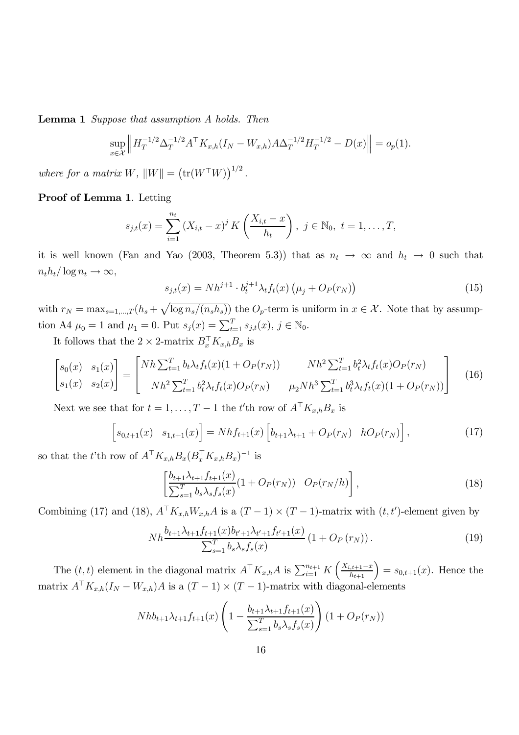Lemma 1 Suppose that assumption A holds. Then

$$
\sup_{x \in \mathcal{X}} \left\| H_T^{-1/2} \Delta_T^{-1/2} A^\top K_{x,h}(I_N - W_{x,h}) A \Delta_T^{-1/2} H_T^{-1/2} - D(x) \right\| = o_p(1).
$$

where for a matrix W,  $||W|| = (\text{tr}(W^{\top}W))^{1/2}$ .

#### Proof of Lemma 1. Letting

$$
s_{j,t}(x) = \sum_{i=1}^{n_t} (X_{i,t} - x)^j K\left(\frac{X_{i,t} - x}{h_t}\right), \ j \in \mathbb{N}_0, \ t = 1, \ldots, T,
$$

it is well known (Fan and Yao (2003, Theorem 5.3)) that as  $n_t \to \infty$  and  $h_t \to 0$  such that  $n_t h_t / \log n_t \rightarrow \infty$ ,

$$
s_{j,t}(x) = Nh^{j+1} \cdot b_t^{j+1} \lambda_t f_t(x) \left(\mu_j + O_P(r_N)\right)
$$
 (15)

with  $r_N = \max_{s=1,\dots,T} (h_s + \sqrt{\log n_s/(n_s h_s)})$  the  $O_p$ -term is uniform in  $x \in \mathcal{X}$ . Note that by assumption A4  $\mu_0 = 1$  and  $\mu_1 = 0$ . Put  $s_j(x) = \sum_{t=1}^T s_{j,t}(x), j \in \mathbb{N}_0$ .

It follows that the  $2 \times 2$ -matrix  $B_x^{\dagger} K_{x,h} B_x$  is

$$
\begin{bmatrix} s_0(x) & s_1(x) \\ s_1(x) & s_2(x) \end{bmatrix} = \begin{bmatrix} Nh \sum_{t=1}^T b_t \lambda_t f_t(x) (1 + O_P(r_N)) & Nh^2 \sum_{t=1}^T b_t^2 \lambda_t f_t(x) O_P(r_N) \\ Nh^2 \sum_{t=1}^T b_t^2 \lambda_t f_t(x) O_P(r_N) & \mu_2 Nh^3 \sum_{t=1}^T b_t^3 \lambda_t f_t(x) (1 + O_P(r_N)) \end{bmatrix}
$$
(16)

Next we see that for  $t = 1, ..., T - 1$  the  $t'$ th row of  $A<sup>T</sup> K_{x,h} B_x$  is

$$
\[s_{0,t+1}(x) \quad s_{1,t+1}(x)\] = Nhf_{t+1}(x) \left[b_{t+1}\lambda_{t+1} + O_P(r_N) \quad hO_P(r_N)\right],\tag{17}
$$

so that the t'th row of  $A^\top K_{x,h} B_x (B_x^\top K_{x,h} B_x)^{-1}$  is

$$
\left[\frac{b_{t+1}\lambda_{t+1}f_{t+1}(x)}{\sum_{s=1}^{T}b_s\lambda_s f_s(x)}(1+O_P(r_N))\right] \, O_P(r_N/h)\right],\tag{18}
$$

Combining (17) and (18),  $A<sup>T</sup>K_{x,h}W_{x,h}A$  is a  $(T-1) \times (T-1)$ -matrix with  $(t, t')$ -element given by

$$
Nh \frac{b_{t+1}\lambda_{t+1}f_{t+1}(x)b_{t'+1}\lambda_{t'+1}f_{t'+1}(x)}{\sum_{s=1}^{T}b_s\lambda_s f_s(x)}\left(1+O_P\left(r_N\right)\right). \tag{19}
$$

The  $(t, t)$  element in the diagonal matrix  $A^{\top} K_{x,h} A$  is  $\sum_{i=1}^{n_{t+1}} K\left(\frac{X_{i,t+1}-x}{h_{t+1}}\right) = s_{0,t+1}(x)$ . Hence the matrix  $A^{\dagger} K_{x,h}(I_N - W_{x,h})A$  is a  $(T-1) \times (T-1)$ -matrix with diagonal-elements

$$
Nhb_{t+1}\lambda_{t+1}f_{t+1}(x)\left(1 - \frac{b_{t+1}\lambda_{t+1}f_{t+1}(x)}{\sum_{s=1}^{T}b_s\lambda_s f_s(x)}\right)(1 + O_P(r_N))
$$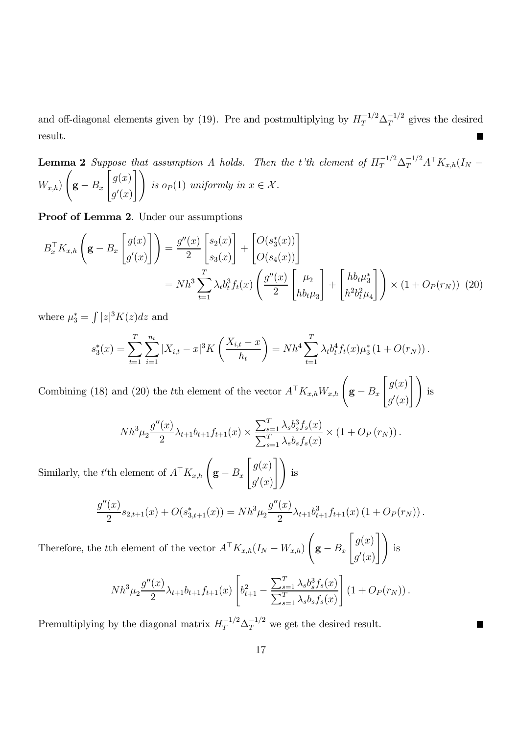and off-diagonal elements given by (19). Pre and postmultiplying by  $H_T^{-1/2} \Delta_T^{-1/2}$  gives the desired result.  $\blacksquare$ 

**Lemma 2** Suppose that assumption A holds. Then the t'th element of  $H_T^{-1/2} \Delta_T^{-1/2} A^{\top} K_{x,h}(I_N W_{x,h}$  $\sqrt{ }$  $\mathbf{g} - B_x$  $\int g(x)$  $g'(x)$  $\overline{1}$ is  $o_P(1)$  uniformly in  $x \in \mathcal{X}$ .

Proof of Lemma 2. Under our assumptions

$$
B_x^{\top} K_{x,h} \left( \mathbf{g} - B_x \begin{bmatrix} g(x) \\ g'(x) \end{bmatrix} \right) = \frac{g''(x)}{2} \begin{bmatrix} s_2(x) \\ s_3(x) \end{bmatrix} + \begin{bmatrix} O(s_3^*(x)) \\ O(s_4(x)) \end{bmatrix}
$$
  
=  $Nh^3 \sum_{t=1}^T \lambda_t b_t^3 f_t(x) \left( \frac{g''(x)}{2} \begin{bmatrix} \mu_2 \\ h b_t \mu_3 \end{bmatrix} + \begin{bmatrix} h b_t \mu_3^* \\ h^2 b_t^2 \mu_4 \end{bmatrix} \right) \times (1 + O_P(r_N))$  (20)

where  $\mu_3^* = \int |z|^3 K(z) dz$  and

$$
s_3^*(x) = \sum_{t=1}^T \sum_{i=1}^{n_t} |X_{i,t} - x|^3 K\left(\frac{X_{i,t} - x}{h_t}\right) = Nh^4 \sum_{t=1}^T \lambda_t b_t^4 f_t(x) \mu_3^* (1 + O(r_N)).
$$

Combining (18) and (20) the tth element of the vector  $A^{\top}K_{x,h}W_{x,h}$   $\left(\mathbf{g} - B_x\right)$  $\int g(x)$  $g'(x)$  $\overline{1}$ is

$$
Nh^3\mu_2 \frac{g''(x)}{2}\lambda_{t+1}b_{t+1}f_{t+1}(x) \times \frac{\sum_{s=1}^T \lambda_s b_s^3 f_s(x)}{\sum_{s=1}^T \lambda_s b_s f_s(x)} \times (1 + O_P(r_N)).
$$

Similarly, the t'<sup>th</sup> element of  $A^{\top}K_{x,h}$   $\left(\mathbf{g} - B_x\right)$  $\int g(x)$  $g'(x)$  $\overline{1}$ is

$$
\frac{g''(x)}{2}s_{2,t+1}(x) + O(s_{3,t+1}^*(x)) = Nh^3\mu_2\frac{g''(x)}{2}\lambda_{t+1}b_{t+1}^3f_{t+1}(x) (1 + O_P(r_N)).
$$

Therefore, the tth element of the vector  $A<sup>T</sup>K_{x,h}(I_N - W_{x,h})$  $\sqrt{ }$  $\mathbf{g} - B_x$  $\int g(x)$  $g'(x)$  $\bigcap$ is

$$
Nh^3\mu_2 \frac{g''(x)}{2}\lambda_{t+1}b_{t+1}f_{t+1}(x)\left[b_{t+1}^2 - \frac{\sum_{s=1}^T \lambda_s b_s^3 f_s(x)}{\sum_{s=1}^T \lambda_s b_s f_s(x)}\right] (1 + O_P(r_N)).
$$

Premultiplying by the diagonal matrix  $H_T^{-1/2} \Delta_T^{-1/2}$  we get the desired result.

 $\blacksquare$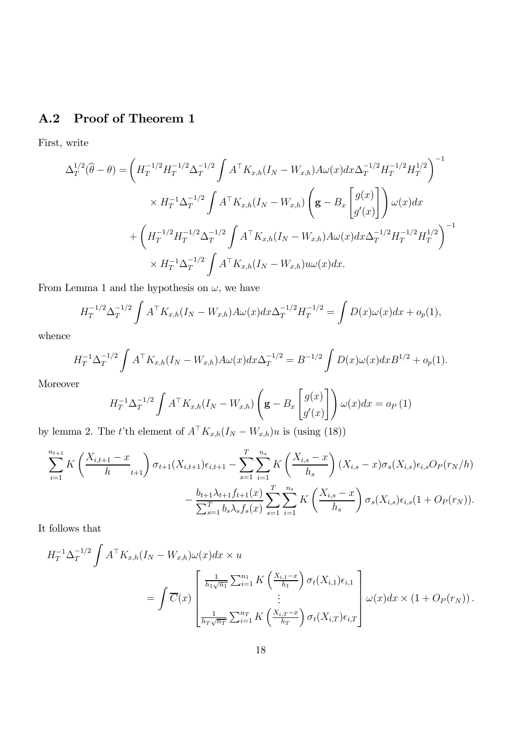## A.2 Proof of Theorem 1

First, write

$$
\Delta_T^{1/2}(\hat{\theta} - \theta) = \left( H_T^{-1/2} H_T^{-1/2} \Delta_T^{-1/2} \int A^{\top} K_{x,h}(I_N - W_{x,h}) A\omega(x) dx \Delta_T^{-1/2} H_T^{-1/2} H_T^{1/2} \right)^{-1}
$$
  

$$
\times H_T^{-1} \Delta_T^{-1/2} \int A^{\top} K_{x,h}(I_N - W_{x,h}) \left( \mathbf{g} - B_x \begin{bmatrix} g(x) \\ g'(x) \end{bmatrix} \right) \omega(x) dx
$$
  

$$
+ \left( H_T^{-1/2} H_T^{-1/2} \Delta_T^{-1/2} \int A^{\top} K_{x,h}(I_N - W_{x,h}) A\omega(x) dx \Delta_T^{-1/2} H_T^{-1/2} H_T^{1/2} \right)^{-1}
$$
  

$$
\times H_T^{-1} \Delta_T^{-1/2} \int A^{\top} K_{x,h}(I_N - W_{x,h}) u\omega(x) dx.
$$

From Lemma 1 and the hypothesis on  $\omega$ , we have

$$
H_T^{-1/2} \Delta_T^{-1/2} \int A^{\top} K_{x,h}(I_N - W_{x,h}) A \omega(x) dx \Delta_T^{-1/2} H_T^{-1/2} = \int D(x) \omega(x) dx + o_p(1),
$$

whence

$$
H_T^{-1} \Delta_T^{-1/2} \int A^{\top} K_{x,h}(I_N - W_{x,h}) A \omega(x) dx \Delta_T^{-1/2} = B^{-1/2} \int D(x) \omega(x) dx B^{1/2} + o_p(1).
$$

Moreover

$$
H_T^{-1} \Delta_T^{-1/2} \int A^\top K_{x,h}(I_N - W_{x,h}) \left( \mathbf{g} - B_x \begin{bmatrix} g(x) \\ g'(x) \end{bmatrix} \right) \omega(x) dx = o_P(1)
$$

by lemma 2. The t'th element of  $A^{\top}K_{x,h}(I_N - W_{x,h})u$  is (using (18))

$$
\sum_{i=1}^{n_{t+1}} K\left(\frac{X_{i,t+1} - x}{h} \right) \sigma_{t+1}(X_{i,t+1}) \epsilon_{i,t+1} - \sum_{s=1}^{T} \sum_{i=1}^{n_s} K\left(\frac{X_{i,s} - x}{h_s}\right) (X_{i,s} - x) \sigma_s(X_{i,s}) \epsilon_{i,s} O_P(r_N/h)
$$

$$
- \frac{b_{t+1} \lambda_{t+1} f_{t+1}(x)}{\sum_{s=1}^{T} b_s \lambda_s f_s(x)} \sum_{s=1}^{T} \sum_{i=1}^{n_s} K\left(\frac{X_{i,s} - x}{h_s}\right) \sigma_s(X_{i,s}) \epsilon_{i,s} (1 + O_P(r_N)).
$$

It follows that

$$
H_T^{-1}\Delta_T^{-1/2} \int A^{\top}K_{x,h}(I_N - W_{x,h})\omega(x)dx \times u
$$
  
= 
$$
\int \overline{C}(x) \left[\begin{matrix} \frac{1}{h_1\sqrt{n_1}} \sum_{i=1}^{n_1} K\left(\frac{X_{i,1}-x}{h_1}\right) \sigma_t(X_{i,1})\epsilon_{i,1} \\ \vdots \\ \frac{1}{h_T\sqrt{n_T}} \sum_{i=1}^{n_T} K\left(\frac{X_{i,T}-x}{h_T}\right) \sigma_t(X_{i,T})\epsilon_{i,T} \end{matrix}\right] \omega(x)dx \times (1 + O_P(r_N)).
$$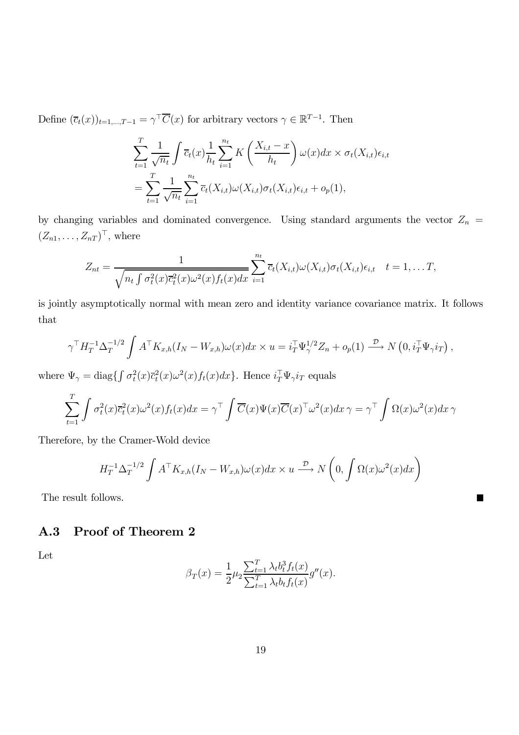Define  $(\overline{c}_t(x))_{t=1,\dots,T-1} = \gamma^{\top} \overline{C}(x)$  for arbitrary vectors  $\gamma \in \mathbb{R}^{T-1}$ . Then

$$
\sum_{t=1}^{T} \frac{1}{\sqrt{n_t}} \int \overline{c}_t(x) \frac{1}{h_t} \sum_{i=1}^{n_t} K\left(\frac{X_{i,t} - x}{h_t}\right) \omega(x) dx \times \sigma_t(X_{i,t}) \epsilon_{i,t}
$$

$$
= \sum_{t=1}^{T} \frac{1}{\sqrt{n_t}} \sum_{i=1}^{n_t} \overline{c}_t(X_{i,t}) \omega(X_{i,t}) \sigma_t(X_{i,t}) \epsilon_{i,t} + o_p(1),
$$

by changing variables and dominated convergence. Using standard arguments the vector  $Z_n$  =  $(Z_{n1},\ldots,Z_{nT})^{\top}$ , where

$$
Z_{nt} = \frac{1}{\sqrt{n_t \int \sigma_t^2(x) \overline{c}_t^2(x) \omega^2(x) f_t(x) dx}} \sum_{i=1}^{n_t} \overline{c}_t(X_{i,t}) \omega(X_{i,t}) \sigma_t(X_{i,t}) \epsilon_{i,t} \quad t = 1, \ldots T,
$$

is jointly asymptotically normal with mean zero and identity variance covariance matrix. It follows that

$$
\gamma^{\top} H_T^{-1} \Delta_T^{-1/2} \int A^{\top} K_{x,h}(I_N - W_{x,h}) \omega(x) dx \times u = i_T^{\top} \Psi_{\gamma}^{1/2} Z_n + o_p(1) \xrightarrow{\mathcal{D}} N\left(0, i_T^{\top} \Psi_{\gamma} i_T\right),
$$

where  $\Psi_{\gamma} = \text{diag}\left\{\int \sigma_t^2(x)\overline{c}_t^2(x)\omega^2(x)f_t(x)dx\right\}$ . Hence  $i_T^{\top}\Psi_{\gamma}i_T$  equals

$$
\sum_{t=1}^T \int \sigma_t^2(x) \overline{c}_t^2(x) \omega^2(x) f_t(x) dx = \gamma^{\top} \int \overline{C}(x) \Psi(x) \overline{C}(x)^{\top} \omega^2(x) dx \gamma = \gamma^{\top} \int \Omega(x) \omega^2(x) dx \gamma
$$

Therefore, by the Cramer-Wold device

$$
H_T^{-1} \Delta_T^{-1/2} \int A^\top K_{x,h}(I_N - W_{x,h}) \omega(x) dx \times u \stackrel{\mathcal{D}}{\longrightarrow} N\left(0, \int \Omega(x) \omega^2(x) dx\right)
$$

■

The result follows.

#### A.3 Proof of Theorem 2

Let

$$
\beta_T(x) = \frac{1}{2} \mu_2 \frac{\sum_{t=1}^T \lambda_t b_t^3 f_t(x)}{\sum_{t=1}^T \lambda_t b_t f_t(x)} g''(x).
$$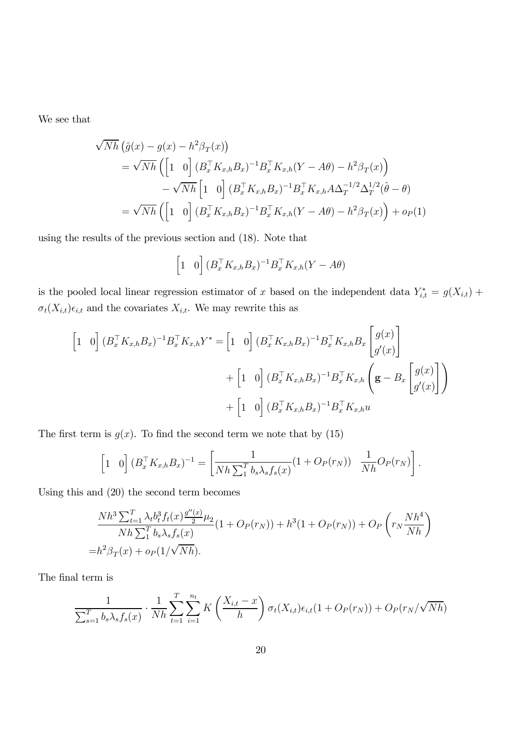We see that

$$
\sqrt{Nh} \left( \hat{g}(x) - g(x) - h^2 \beta_T(x) \right)
$$
  
=  $\sqrt{Nh} \left( \begin{bmatrix} 1 & 0 \end{bmatrix} (B_x^\top K_{x,h} B_x)^{-1} B_x^\top K_{x,h} (Y - A\theta) - h^2 \beta_T(x) \right)$   
 $- \sqrt{Nh} \begin{bmatrix} 1 & 0 \end{bmatrix} (B_x^\top K_{x,h} B_x)^{-1} B_x^\top K_{x,h} A \Delta_T^{-1/2} \Delta_T^{1/2} (\hat{\theta} - \theta)$   
=  $\sqrt{Nh} \left( \begin{bmatrix} 1 & 0 \end{bmatrix} (B_x^\top K_{x,h} B_x)^{-1} B_x^\top K_{x,h} (Y - A\theta) - h^2 \beta_T(x) \right) + o_P(1)$ 

using the results of the previous section and (18). Note that

$$
\begin{bmatrix} 1 & 0 \end{bmatrix} (B_x^\top K_{x,h} B_x)^{-1} B_x^\top K_{x,h} (Y - A\theta)
$$

is the pooled local linear regression estimator of x based on the independent data  $Y_{i,t}^* = g(X_{i,t}) +$  $\sigma_t(X_{i,t})\epsilon_{i,t}$  and the covariates  $X_{i,t}$ . We may rewrite this as

$$
\begin{aligned}\n\begin{bmatrix} 1 & 0 \end{bmatrix} (B_x^\top K_{x,h} B_x)^{-1} B_x^\top K_{x,h} Y^* &= \begin{bmatrix} 1 & 0 \end{bmatrix} (B_x^\top K_{x,h} B_x)^{-1} B_x^\top K_{x,h} B_x \begin{bmatrix} g(x) \\ g'(x) \end{bmatrix} \\
&\quad + \begin{bmatrix} 1 & 0 \end{bmatrix} (B_x^\top K_{x,h} B_x)^{-1} B_x^\top K_{x,h} \begin{bmatrix} \mathbf{g} - B_x \end{bmatrix} \begin{bmatrix} g(x) \\ g'(x) \end{bmatrix} \end{aligned}\n\end{aligned}
$$

The first term is  $g(x)$ . To find the second term we note that by (15)

$$
\begin{bmatrix} 1 & 0 \end{bmatrix} (B_x^\top K_{x,h} B_x)^{-1} = \begin{bmatrix} \frac{1}{Nh \sum_1^T b_s \lambda_s f_s(x)} (1 + O_P(r_N)) & \frac{1}{Nh} O_P(r_N) \end{bmatrix}.
$$

Using this and (20) the second term becomes

$$
\frac{Nh^3 \sum_{t=1}^T \lambda_t b_t^3 f_t(x) \frac{g''(x)}{2} \mu_2}{Nh \sum_{1}^T b_s \lambda_s f_s(x)} (1 + O_P(r_N)) + h^3 (1 + O_P(r_N)) + O_P\left(r_N \frac{Nh^4}{Nh}\right)
$$
  
=  $h^2 \beta_T(x) + o_P(1/\sqrt{Nh}).$ 

The final term is

$$
\frac{1}{\sum_{s=1}^{T} b_s \lambda_s f_s(x)} \cdot \frac{1}{Nh} \sum_{t=1}^{T} \sum_{i=1}^{n_t} K\left(\frac{X_{i,t} - x}{h}\right) \sigma_t(X_{i,t}) \epsilon_{i,t} (1 + O_P(r_N)) + O_P(r_N/\sqrt{Nh})
$$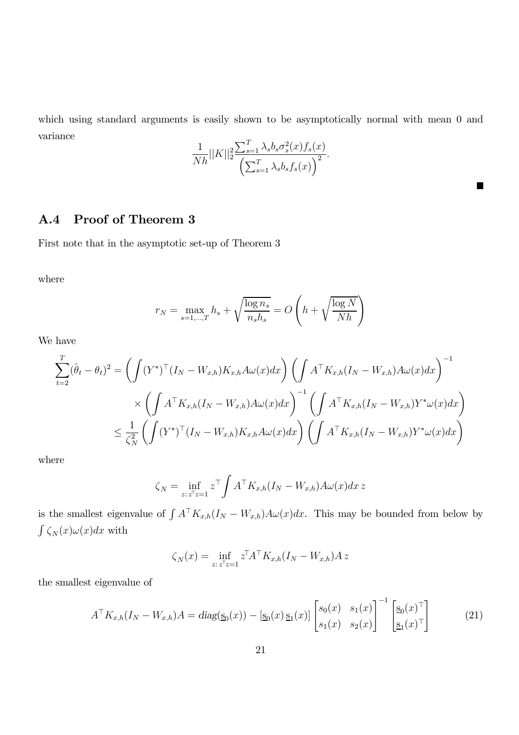which using standard arguments is easily shown to be asymptotically normal with mean 0 and variance

$$
\frac{1}{Nh} ||K||_2^2 \frac{\sum_{s=1}^T \lambda_s b_s \sigma_s^2(x) f_s(x)}{\left(\sum_{s=1}^T \lambda_s b_s f_s(x)\right)^2}.
$$

 $\blacksquare$ 

#### A.4 Proof of Theorem 3

First note that in the asymptotic set-up of Theorem 3

where

$$
r_N = \max_{s=1,\dots,T} h_s + \sqrt{\frac{\log n_s}{n_s h_s}} = O\left(h + \sqrt{\frac{\log N}{Nh}}\right)
$$

We have

$$
\sum_{t=2}^{T} (\hat{\theta}_t - \theta_t)^2 = \left( \int (Y^*)^{\top} (I_N - W_{x,h}) K_{x,h} A\omega(x) dx \right) \left( \int A^{\top} K_{x,h} (I_N - W_{x,h}) A\omega(x) dx \right)^{-1}
$$
  
 
$$
\times \left( \int A^{\top} K_{x,h} (I_N - W_{x,h}) A\omega(x) dx \right)^{-1} \left( \int A^{\top} K_{x,h} (I_N - W_{x,h}) Y^* \omega(x) dx \right)
$$
  
 
$$
\leq \frac{1}{\zeta_N^2} \left( \int (Y^*)^{\top} (I_N - W_{x,h}) K_{x,h} A\omega(x) dx \right) \left( \int A^{\top} K_{x,h} (I_N - W_{x,h}) Y^* \omega(x) dx \right)
$$

where

$$
\zeta_N = \inf_{z: z^{\top}z = 1} z^{\top} \int A^{\top} K_{x,h} (I_N - W_{x,h}) A \omega(x) dx z
$$

is the smallest eigenvalue of  $\int A^{\top}K_{x,h}(I_N - W_{x,h})A\omega(x)dx$ . This may be bounded from below by  $\int \zeta_N(x)\omega(x)dx$  with

$$
\zeta_N(x) = \inf_{z: z^\top z = 1} z^\top A^\top K_{x,h}(I_N - W_{x,h}) A z
$$

the smallest eigenvalue of

$$
A^{\top} K_{x,h}(I_N - W_{x,h})A = \text{diag}(\underline{\mathbf{s}}_0(x)) - [\underline{\mathbf{s}}_0(x) \ \underline{\mathbf{s}}_1(x)] \begin{bmatrix} s_0(x) & s_1(x) \\ s_1(x) & s_2(x) \end{bmatrix}^{-1} \begin{bmatrix} \underline{\mathbf{s}}_0(x)^{\top} \\ \underline{\mathbf{s}}_1(x)^{\top} \end{bmatrix}
$$
(21)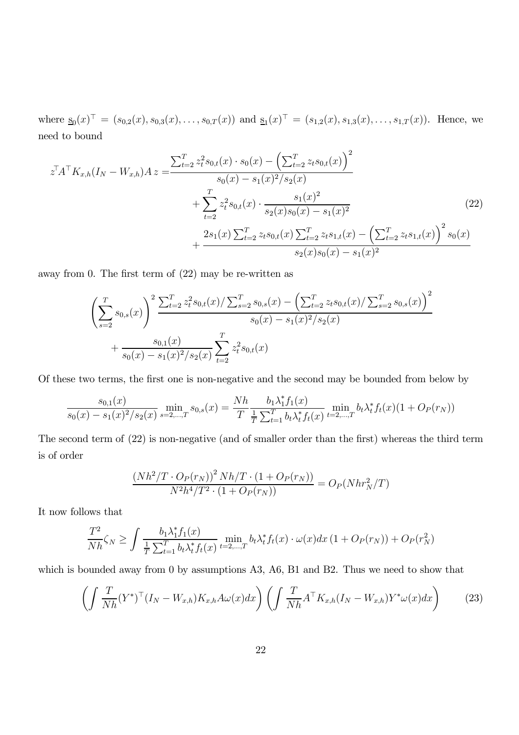where  $s_0(x)$ <sup> $\vdash$ </sup> = (s<sub>0,2</sub>(x), s<sub>0,3</sub>(x), ..., s<sub>0,T</sub>(x)) and  $s_1(x)$ <sup> $\vdash$ </sup> = (s<sub>1,2</sub>(x), s<sub>1,3</sub>(x), ..., s<sub>1,T</sub>(x)). Hence, we need to bound

$$
z^{\top}A^{\top}K_{x,h}(I_N - W_{x,h})A z = \frac{\sum_{t=2}^{T} z_t^2 s_{0,t}(x) \cdot s_0(x) - \left(\sum_{t=2}^{T} z_t s_{0,t}(x)\right)^2}{s_0(x) - s_1(x)^2/s_2(x)} + \sum_{t=2}^{T} z_t^2 s_{0,t}(x) \cdot \frac{s_1(x)^2}{s_2(x)s_0(x) - s_1(x)^2} + \frac{2s_1(x)\sum_{t=2}^{T} z_t s_{0,t}(x)\sum_{t=2}^{T} z_t s_{1,t}(x) - \left(\sum_{t=2}^{T} z_t s_{1,t}(x)\right)^2 s_0(x)}{s_2(x)s_0(x) - s_1(x)^2}
$$
\n(22)

away from 0. The first term of (22) may be re-written as

$$
\left(\sum_{s=2}^{T} s_{0,s}(x)\right)^2 \frac{\sum_{t=2}^{T} z_t^2 s_{0,t}(x) / \sum_{s=2}^{T} s_{0,s}(x) - \left(\sum_{t=2}^{T} z_t s_{0,t}(x) / \sum_{s=2}^{T} s_{0,s}(x)\right)^2}{s_0(x) - s_1(x)^2 / s_2(x)} + \frac{s_{0,1}(x)}{s_0(x) - s_1(x)^2 / s_2(x)} \sum_{t=2}^{T} z_t^2 s_{0,t}(x)
$$

Of these two terms, the first one is non-negative and the second may be bounded from below by

$$
\frac{s_{0,1}(x)}{s_0(x) - s_1(x)^2/s_2(x)} \min_{s=2,\dots,T} s_{0,s}(x) = \frac{Nh}{T} \frac{b_1 \lambda_1^* f_1(x)}{\frac{1}{T} \sum_{t=1}^T b_t \lambda_t^* f_t(x)} \min_{t=2,\dots,T} b_t \lambda_t^* f_t(x) (1 + O_P(r_N))
$$

The second term of (22) is non-negative (and of smaller order than the first) whereas the third term is of order

$$
\frac{(Nh^2/T \cdot O_P(r_N))^2 Nh/T \cdot (1 + O_P(r_N))}{N^2h^4/T^2 \cdot (1 + O_P(r_N))} = O_P(Nhr_N^2/T)
$$

It now follows that

$$
\frac{T^2}{Nh}\zeta_N \ge \int \frac{b_1\lambda_1^* f_1(x)}{\frac{1}{T} \sum_{t=1}^T b_t \lambda_t^* f_t(x)} \min_{t=2,\dots,T} b_t \lambda_t^* f_t(x) \cdot \omega(x) dx \left(1 + O_P(r_N)\right) + O_P(r_N^2)
$$

which is bounded away from 0 by assumptions A3, A6, B1 and B2. Thus we need to show that

$$
\left(\int \frac{T}{Nh}(Y^*)^\top (I_N - W_{x,h}) K_{x,h} A\omega(x) dx\right) \left(\int \frac{T}{Nh} A^\top K_{x,h} (I_N - W_{x,h}) Y^* \omega(x) dx\right) \tag{23}
$$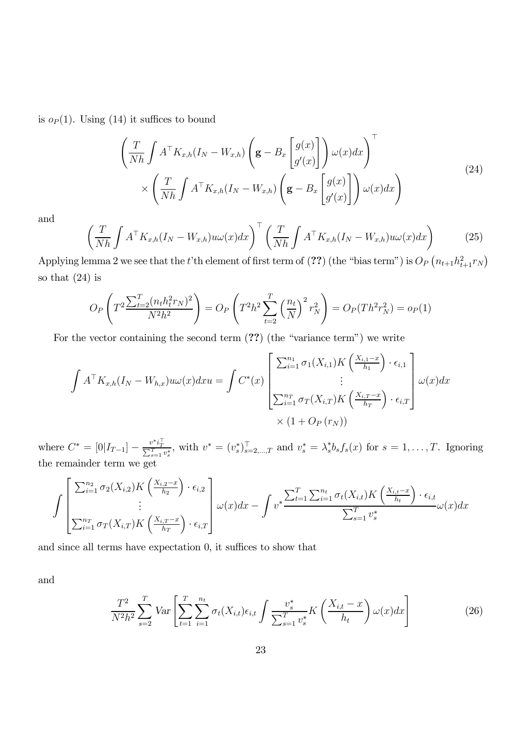is  $o_P(1)$ . Using (14) it suffices to bound

$$
\left(\frac{T}{Nh} \int A^{\top} K_{x,h}(I_N - W_{x,h}) \left(\mathbf{g} - B_x \begin{bmatrix} g(x) \\ g'(x) \end{bmatrix} \right) \omega(x) dx\right)^{\top} \times \left(\frac{T}{Nh} \int A^{\top} K_{x,h}(I_N - W_{x,h}) \left(\mathbf{g} - B_x \begin{bmatrix} g(x) \\ g'(x) \end{bmatrix} \right) \omega(x) dx\right)
$$
\n(24)

and

$$
\left(\frac{T}{Nh}\int A^{\top}K_{x,h}(I_N - W_{x,h})u\omega(x)dx\right)^{\top} \left(\frac{T}{Nh}\int A^{\top}K_{x,h}(I_N - W_{x,h})u\omega(x)dx\right)
$$
\n(25)

Applying lemma 2 we see that the t'th element of first term of (??) (the "bias term") is  $O_P(n_{t+1}h_{t+1}^2r_N)$ so that (24) is

$$
O_P\left(T^2 \frac{\sum_{t=2}^T (n_t h_t^2 r_N)^2}{N^2 h^2}\right) = O_P\left(T^2 h^2 \sum_{t=2}^T \left(\frac{n_t}{N}\right)^2 r_N^2\right) = O_P(T h^2 r_N^2) = o_P(1)
$$

For the vector containing the second term (??) (the "variance term") we write

$$
\int A^{\top} K_{x,h}(I_N - W_{h,x}) u \omega(x) dx u = \int C^*(x) \begin{bmatrix} \sum_{i=1}^{n_1} \sigma_1(X_{i,1}) K\left(\frac{X_{i,1}-x}{h_1}\right) \cdot \epsilon_{i,1} \\ \vdots \\ \sum_{i=1}^{n_T} \sigma_T(X_{i,T}) K\left(\frac{X_{i,T}-x}{h_T}\right) \cdot \epsilon_{i,T} \end{bmatrix} \omega(x) dx
$$
  
  $\times (1 + O_P(r_N))$ 

where  $C^* = [0|I_{T-1}] - \frac{v^* i_T^{\top}}{\sum_{s=1}^T v_s^*}$ , with  $v^* = (v_s^*)_{s=2,\dots,T}^{\top}$  and  $v_s^* = \lambda_s^* b_s f_s(x)$  for  $s = 1,\dots,T$ . Ignoring the remainder term we get

$$
\int \left[ \frac{\sum_{i=1}^{n_2} \sigma_2(X_{i,2}) K\left(\frac{X_{i,2}-x}{h_2}\right) \cdot \epsilon_{i,2}}{\sum_{i=1}^{n_2} \sigma_T(X_{i,T}) K\left(\frac{X_{i,T}-x}{h_T}\right) \cdot \epsilon_{i,T}} \right] \omega(x) dx - \int v^* \frac{\sum_{t=1}^T \sum_{i=1}^{n_t} \sigma_t(X_{i,t}) K\left(\frac{X_{i,t}-x}{h_t}\right) \cdot \epsilon_{i,t}}{\sum_{s=1}^T v_s^*} \omega(x) dx
$$

and since all terms have expectation 0, it suffices to show that

and

$$
\frac{T^2}{N^2 h^2} \sum_{s=2}^T Var \left[ \sum_{t=1}^T \sum_{i=1}^{n_t} \sigma_t(X_{i,t}) \epsilon_{i,t} \int \frac{v_s^*}{\sum_{s=1}^T v_s^*} K \left( \frac{X_{i,t} - x}{h_t} \right) \omega(x) dx \right]
$$
(26)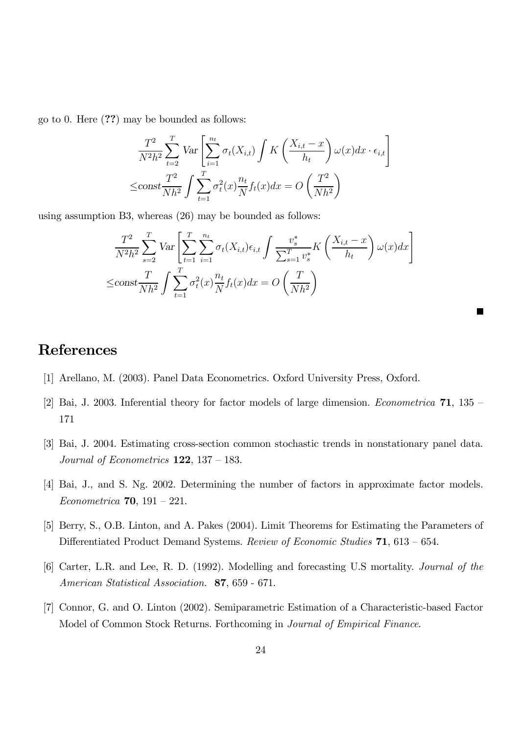go to 0. Here (??) may be bounded as follows:

$$
\frac{T^2}{N^2h^2} \sum_{t=2}^T Var \left[ \sum_{i=1}^{n_t} \sigma_t(X_{i,t}) \int K \left( \frac{X_{i,t} - x}{h_t} \right) \omega(x) dx \cdot \epsilon_{i,t} \right]
$$

$$
\leq \text{const} \frac{T^2}{Nh^2} \int \sum_{t=1}^T \sigma_t^2(x) \frac{n_t}{N} f_t(x) dx = O\left(\frac{T^2}{Nh^2}\right)
$$

using assumption B3, whereas (26) may be bounded as follows:

$$
\frac{T^2}{N^2h^2} \sum_{s=2}^T Var \left[ \sum_{t=1}^T \sum_{i=1}^{n_t} \sigma_t(X_{i,t}) \epsilon_{i,t} \int \frac{v_s^*}{\sum_{s=1}^T v_s^*} K \left( \frac{X_{i,t} - x}{h_t} \right) \omega(x) dx \right]
$$
  

$$
\leq \text{const} \frac{T}{Nh^2} \int \sum_{t=1}^T \sigma_t^2(x) \frac{n_t}{N} f_t(x) dx = O\left(\frac{T}{Nh^2}\right)
$$

## References

- [1] Arellano, M. (2003). Panel Data Econometrics. Oxford University Press, Oxford.
- [2] Bai, J. 2003. Inferential theory for factor models of large dimension. Econometrica 71, 135 171
- [3] Bai, J. 2004. Estimating cross-section common stochastic trends in nonstationary panel data. Journal of Econometrics  $122$ ,  $137 - 183$ .
- [4] Bai, J., and S. Ng. 2002. Determining the number of factors in approximate factor models. Econometrica 70, 191 — 221.
- [5] Berry, S., O.B. Linton, and A. Pakes (2004). Limit Theorems for Estimating the Parameters of Differentiated Product Demand Systems. Review of Economic Studies 71, 613 – 654.
- [6] Carter, L.R. and Lee, R. D. (1992). Modelling and forecasting U.S mortality. Journal of the American Statistical Association. 87, 659 - 671.
- [7] Connor, G. and O. Linton (2002). Semiparametric Estimation of a Characteristic-based Factor Model of Common Stock Returns. Forthcoming in Journal of Empirical Finance.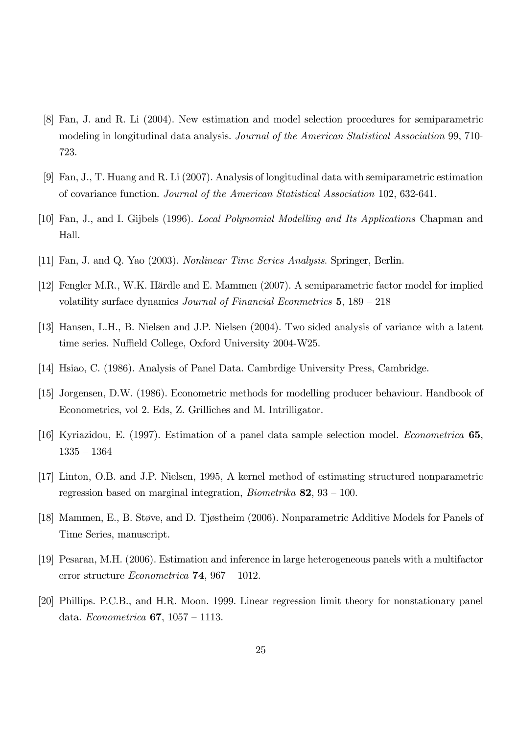- [8] Fan, J. and R. Li (2004). New estimation and model selection procedures for semiparametric modeling in longitudinal data analysis. Journal of the American Statistical Association 99, 710- 723.
- [9] Fan, J., T. Huang and R. Li (2007). Analysis of longitudinal data with semiparametric estimation of covariance function. Journal of the American Statistical Association 102, 632-641.
- [10] Fan, J., and I. Gijbels (1996). Local Polynomial Modelling and Its Applications Chapman and Hall.
- [11] Fan, J. and Q. Yao (2003). Nonlinear Time Series Analysis. Springer, Berlin.
- [12] Fengler M.R., W.K. Härdle and E. Mammen (2007). A semiparametric factor model for implied volatility surface dynamics Journal of Financial Econmetrics 5, 189 — 218
- [13] Hansen, L.H., B. Nielsen and J.P. Nielsen (2004). Two sided analysis of variance with a latent time series. Nuffield College, Oxford University 2004-W25.
- [14] Hsiao, C. (1986). Analysis of Panel Data. Cambrdige University Press, Cambridge.
- [15] Jorgensen, D.W. (1986). Econometric methods for modelling producer behaviour. Handbook of Econometrics, vol 2. Eds, Z. Grilliches and M. Intrilligator.
- [16] Kyriazidou, E. (1997). Estimation of a panel data sample selection model. Econometrica 65, 1335 — 1364
- [17] Linton, O.B. and J.P. Nielsen, 1995, A kernel method of estimating structured nonparametric regression based on marginal integration, *Biometrika* 82,  $93 - 100$ .
- [18] Mammen, E., B. Støve, and D. Tjøstheim (2006). Nonparametric Additive Models for Panels of Time Series, manuscript.
- [19] Pesaran, M.H. (2006). Estimation and inference in large heterogeneous panels with a multifactor error structure *Econometrica* **74**, 967 – 1012.
- [20] Phillips. P.C.B., and H.R. Moon. 1999. Linear regression limit theory for nonstationary panel data. Econometrica 67, 1057 — 1113.